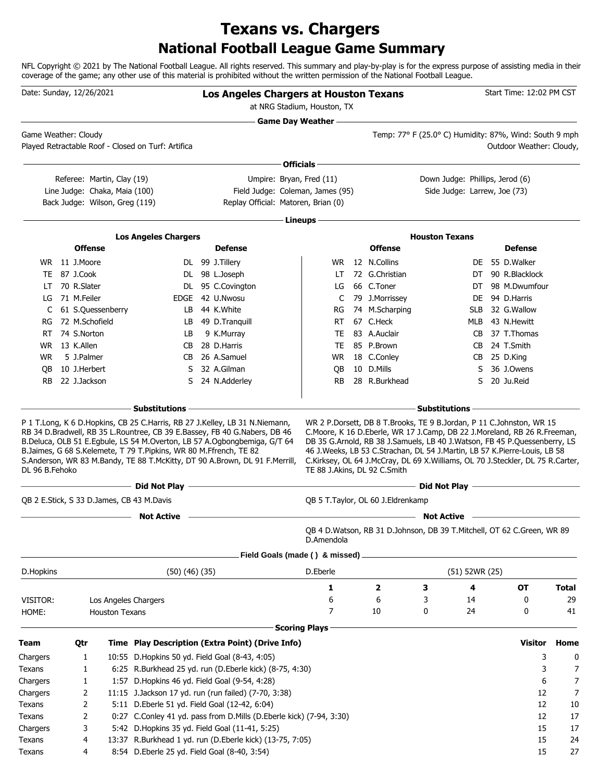## **National Football League Game Summary Texans vs. Chargers**

NFL Copyright © 2021 by The National Football League. All rights reserved. This summary and play-by-play is for the express purpose of assisting media in their coverage of the game; any other use of this material is prohibited without the written permission of the National Football League.

| Date: Sunday, 12/26/2021 |                               |                                |                                                                                                                                     | Los Angeles Chargers at Houston Texans                                                                                                                                                                                                                                          | at NRG Stadium, Houston, TX |                                   |                                                                                                                                                                                                                                          |                    | Start Time: 12:02 PM CST                      |              |
|--------------------------|-------------------------------|--------------------------------|-------------------------------------------------------------------------------------------------------------------------------------|---------------------------------------------------------------------------------------------------------------------------------------------------------------------------------------------------------------------------------------------------------------------------------|-----------------------------|-----------------------------------|------------------------------------------------------------------------------------------------------------------------------------------------------------------------------------------------------------------------------------------|--------------------|-----------------------------------------------|--------------|
| Game Weather: Cloudy     |                               |                                | Played Retractable Roof - Closed on Turf: Artifica                                                                                  |                                                                                                                                                                                                                                                                                 | <b>Game Day Weather —</b>   |                                   | <u> 1989 - Johann Barn, amerikansk politiker (d. 1989)</u><br>Temp: 77° F (25.0° C) Humidity: 87%, Wind: South 9 mph                                                                                                                     |                    | Outdoor Weather: Cloudy,                      |              |
|                          |                               |                                |                                                                                                                                     |                                                                                                                                                                                                                                                                                 | ∙ Officials –               |                                   |                                                                                                                                                                                                                                          |                    |                                               |              |
|                          |                               | Referee: Martin, Clay (19)     |                                                                                                                                     | Umpire: Bryan, Fred (11)                                                                                                                                                                                                                                                        |                             |                                   | Down Judge: Phillips, Jerod (6)                                                                                                                                                                                                          |                    |                                               |              |
|                          |                               | Line Judge: Chaka, Maia (100)  |                                                                                                                                     | Field Judge: Coleman, James (95)                                                                                                                                                                                                                                                |                             |                                   | Side Judge: Larrew, Joe (73)                                                                                                                                                                                                             |                    |                                               |              |
|                          |                               | Back Judge: Wilson, Greg (119) |                                                                                                                                     | Replay Official: Matoren, Brian (0)                                                                                                                                                                                                                                             |                             |                                   |                                                                                                                                                                                                                                          |                    |                                               |              |
|                          |                               |                                |                                                                                                                                     |                                                                                                                                                                                                                                                                                 | Lineups -                   |                                   |                                                                                                                                                                                                                                          |                    |                                               |              |
|                          |                               |                                |                                                                                                                                     |                                                                                                                                                                                                                                                                                 |                             |                                   |                                                                                                                                                                                                                                          |                    |                                               |              |
|                          |                               |                                | <b>Los Angeles Chargers</b>                                                                                                         |                                                                                                                                                                                                                                                                                 |                             |                                   | <b>Houston Texans</b>                                                                                                                                                                                                                    |                    |                                               |              |
|                          | <b>Offense</b>                |                                |                                                                                                                                     | <b>Defense</b>                                                                                                                                                                                                                                                                  |                             | <b>Offense</b>                    |                                                                                                                                                                                                                                          |                    | <b>Defense</b>                                |              |
|                          | WR 11 J.Moore                 |                                |                                                                                                                                     | DL 99 J.Tillery                                                                                                                                                                                                                                                                 | WR.                         | 12 N.Collins                      |                                                                                                                                                                                                                                          |                    | DE 55 D. Walker                               |              |
|                          | TE 87 J.Cook                  |                                |                                                                                                                                     | DL 98 L.Joseph                                                                                                                                                                                                                                                                  | LT                          | 72 G.Christian                    |                                                                                                                                                                                                                                          | DT                 | 90 R.Blacklock                                |              |
| LT                       | 70 R.Slater<br>71 M.Feiler    |                                |                                                                                                                                     | DL 95 C.Covington                                                                                                                                                                                                                                                               | LG                          | 66 C.Toner                        |                                                                                                                                                                                                                                          | DT                 | 98 M.Dwumfour                                 |              |
| LG                       |                               |                                |                                                                                                                                     | EDGE 42 U.Nwosu                                                                                                                                                                                                                                                                 | C                           | 79 J.Morrissey                    |                                                                                                                                                                                                                                          | DE.                | 94 D.Harris                                   |              |
| C                        |                               | 61 S.Quessenberry              | LB.                                                                                                                                 | 44 K.White                                                                                                                                                                                                                                                                      | RG                          | 74 M.Scharping                    |                                                                                                                                                                                                                                          | <b>SLB</b>         | 32 G.Wallow                                   |              |
| RG                       | 72 M.Schofield<br>74 S.Norton |                                | LB                                                                                                                                  | 49 D.Tranquill                                                                                                                                                                                                                                                                  | RT                          | 67 C.Heck<br>83 A.Auclair         |                                                                                                                                                                                                                                          | MLB                | 43 N.Hewitt<br>37 T.Thomas                    |              |
| RT                       | 13 K.Allen                    |                                | LB<br>CB                                                                                                                            | 9 K.Murray<br>28 D.Harris                                                                                                                                                                                                                                                       | TE<br>TE.                   | 85 P.Brown                        |                                                                                                                                                                                                                                          | CB.                | 24 T.Smith                                    |              |
| WR.<br><b>WR</b>         | 5 J.Palmer                    |                                | CB                                                                                                                                  | 26 A.Samuel                                                                                                                                                                                                                                                                     | WR                          | 18 C.Conley                       |                                                                                                                                                                                                                                          | CB                 | 25 D.King                                     |              |
| OВ                       | 10 J.Herbert                  |                                | S.                                                                                                                                  | 32 A.Gilman                                                                                                                                                                                                                                                                     |                             | 10 D.Mills                        |                                                                                                                                                                                                                                          | CB<br>S            | 36 J.Owens                                    |              |
| <b>RB</b>                | 22 J.Jackson                  |                                | S                                                                                                                                   | 24 N.Adderley                                                                                                                                                                                                                                                                   | QB<br>RB.                   | 28 R.Burkhead                     |                                                                                                                                                                                                                                          | S                  | 20 Ju.Reid                                    |              |
|                          |                               |                                |                                                                                                                                     |                                                                                                                                                                                                                                                                                 |                             |                                   |                                                                                                                                                                                                                                          |                    |                                               |              |
|                          |                               |                                | – Substitutions                                                                                                                     |                                                                                                                                                                                                                                                                                 |                             |                                   | <b>Substitutions</b>                                                                                                                                                                                                                     |                    |                                               |              |
| DL 96 B.Fehoko           |                               |                                | B.Jaimes, G 68 S.Kelemete, T 79 T.Pipkins, WR 80 M.Ffrench, TE 82<br>$\overline{\phantom{a}}$ Did Not Play $\overline{\phantom{a}}$ | B.Deluca, OLB 51 E.Egbule, LS 54 M.Overton, LB 57 A.Ogbongbemiga, G/T 64<br>S.Anderson, WR 83 M.Bandy, TE 88 T.McKitty, DT 90 A.Brown, DL 91 F.Merrill,<br><u> 1980 - Johann Barn, amerikan besteman besteman besteman besteman besteman besteman besteman besteman bestema</u> |                             | TE 88 J.Akins, DL 92 C.Smith      | DB 35 G.Arnold, RB 38 J.Samuels, LB 40 J.Watson, FB 45 P.Quessenberry, LS<br>46 J.Weeks, LB 53 C.Strachan, DL 54 J.Martin, LB 57 K.Pierre-Louis, LB 58<br>C.Kirksey, OL 64 J.McCray, DL 69 X.Williams, OL 70 J.Steckler, DL 75 R.Carter, |                    | Did Not Play <u>_________________________</u> |              |
|                          |                               |                                |                                                                                                                                     |                                                                                                                                                                                                                                                                                 |                             |                                   |                                                                                                                                                                                                                                          |                    |                                               |              |
|                          |                               |                                | QB 2 E.Stick, S 33 D.James, CB 43 M.Davis                                                                                           |                                                                                                                                                                                                                                                                                 |                             | QB 5 T.Taylor, OL 60 J.Eldrenkamp |                                                                                                                                                                                                                                          |                    |                                               |              |
|                          |                               |                                | <b>Not Active</b>                                                                                                                   |                                                                                                                                                                                                                                                                                 | D.Amendola                  |                                   | <b>Not Active</b><br>QB 4 D.Watson, RB 31 D.Johnson, DB 39 T.Mitchell, OT 62 C.Green, WR 89                                                                                                                                              |                    |                                               |              |
|                          |                               |                                |                                                                                                                                     | Field Goals (made () & missed)                                                                                                                                                                                                                                                  |                             |                                   |                                                                                                                                                                                                                                          |                    |                                               |              |
| D.Hopkins                |                               |                                | $(50)$ $(46)$ $(35)$                                                                                                                |                                                                                                                                                                                                                                                                                 | D.Eberle                    |                                   |                                                                                                                                                                                                                                          | $(51)$ 52WR $(25)$ |                                               |              |
|                          |                               |                                |                                                                                                                                     |                                                                                                                                                                                                                                                                                 | 1                           | 2                                 | З                                                                                                                                                                                                                                        | 4                  | OТ                                            | <b>Total</b> |
| VISITOR:                 |                               |                                | Los Angeles Chargers                                                                                                                |                                                                                                                                                                                                                                                                                 | 6                           | 6                                 | 3                                                                                                                                                                                                                                        | 14                 | 0                                             | 29           |
| HOME:                    |                               | <b>Houston Texans</b>          |                                                                                                                                     |                                                                                                                                                                                                                                                                                 | 7                           | 10                                | 0                                                                                                                                                                                                                                        | 24                 | 0                                             | 41           |
|                          |                               |                                |                                                                                                                                     |                                                                                                                                                                                                                                                                                 | <b>Scoring Plays</b>        |                                   |                                                                                                                                                                                                                                          |                    |                                               |              |
|                          |                               |                                |                                                                                                                                     |                                                                                                                                                                                                                                                                                 |                             |                                   |                                                                                                                                                                                                                                          |                    |                                               |              |
| <b>Team</b>              | Qtr                           |                                |                                                                                                                                     | Time Play Description (Extra Point) (Drive Info)                                                                                                                                                                                                                                |                             |                                   |                                                                                                                                                                                                                                          |                    | <b>Visitor</b>                                | Home         |
| Chargers                 | 1                             |                                | 10:55 D. Hopkins 50 yd. Field Goal (8-43, 4:05)                                                                                     |                                                                                                                                                                                                                                                                                 |                             |                                   |                                                                                                                                                                                                                                          |                    | 3                                             | 0            |
| Texans                   | 1                             |                                |                                                                                                                                     | 6:25 R.Burkhead 25 yd. run (D.Eberle kick) (8-75, 4:30)                                                                                                                                                                                                                         |                             |                                   |                                                                                                                                                                                                                                          |                    | 3                                             | 7            |
| Chargers                 | 1                             |                                | 1:57 D. Hopkins 46 yd. Field Goal (9-54, 4:28)                                                                                      |                                                                                                                                                                                                                                                                                 |                             |                                   |                                                                                                                                                                                                                                          |                    | 6                                             | 7            |
| Chargers                 | 2                             |                                |                                                                                                                                     | 11:15 J.Jackson 17 yd. run (run failed) (7-70, 3:38)                                                                                                                                                                                                                            |                             |                                   |                                                                                                                                                                                                                                          |                    | 12                                            | 7            |
| Texans                   | 2                             |                                | 5:11 D.Eberle 51 yd. Field Goal (12-42, 6:04)                                                                                       |                                                                                                                                                                                                                                                                                 |                             |                                   |                                                                                                                                                                                                                                          |                    | 12                                            | 10           |
| Texans                   | 2                             |                                |                                                                                                                                     | 0:27 C.Conley 41 yd. pass from D.Mills (D.Eberle kick) (7-94, 3:30)                                                                                                                                                                                                             |                             |                                   |                                                                                                                                                                                                                                          |                    | 12                                            | 17           |
| Chargers                 | 3                             |                                |                                                                                                                                     | 5:42 D. Hopkins 35 yd. Field Goal (11-41, 5:25)                                                                                                                                                                                                                                 |                             |                                   |                                                                                                                                                                                                                                          |                    | 15                                            | 17           |
| Texans                   | 4                             |                                |                                                                                                                                     | 13:37 R.Burkhead 1 yd. run (D.Eberle kick) (13-75, 7:05)                                                                                                                                                                                                                        |                             |                                   |                                                                                                                                                                                                                                          |                    | 15                                            | 24           |
| Texans                   | 4                             |                                | 8:54 D. Eberle 25 yd. Field Goal (8-40, 3:54)                                                                                       |                                                                                                                                                                                                                                                                                 |                             |                                   |                                                                                                                                                                                                                                          |                    | 15                                            | 27           |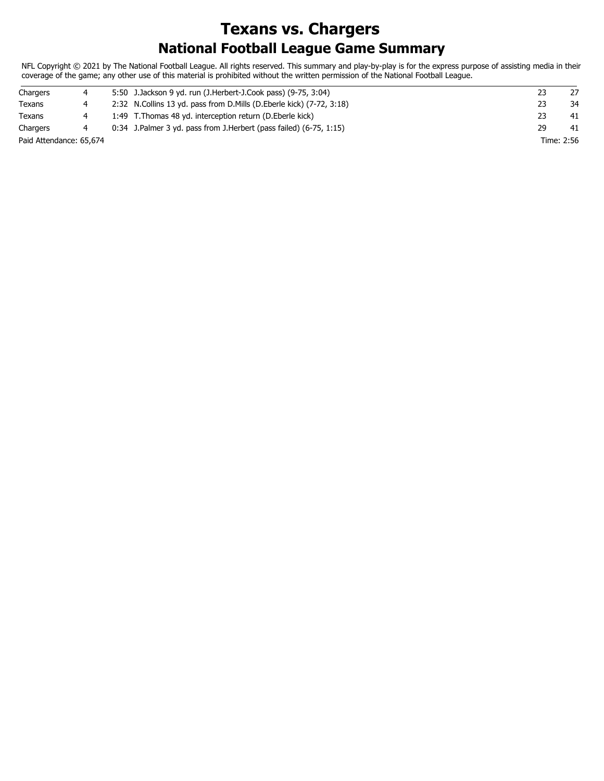## **National Football League Game Summary Texans vs. Chargers**

NFL Copyright © 2021 by The National Football League. All rights reserved. This summary and play-by-play is for the express purpose of assisting media in their coverage of the game; any other use of this material is prohibited without the written permission of the National Football League.

| Chargers                | 4 | 5:50 J. Jackson 9 yd. run (J. Herbert-J. Cook pass) (9-75, 3:04)        |    |            | 27 |
|-------------------------|---|-------------------------------------------------------------------------|----|------------|----|
| Texans                  |   | 2:32 N. Collins 13 yd. pass from D. Mills (D. Eberle kick) (7-72, 3:18) |    |            | 34 |
| Texans                  |   | 1:49 T. Thomas 48 yd. interception return (D. Eberle kick)              |    |            | 41 |
| Chargers                |   | $0:34$ J.Palmer 3 yd. pass from J.Herbert (pass failed) (6-75, 1:15)    | 29 |            | 41 |
| Paid Attendance: 65,674 |   |                                                                         |    | Time: 2:56 |    |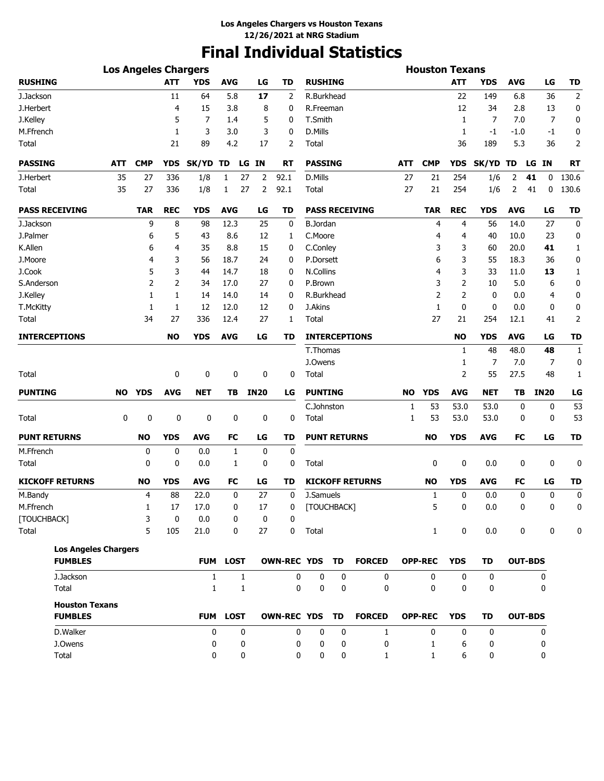# **Final Individual Statistics**

|                                         | <b>Los Angeles Chargers</b> |                |            |              |              |             |                |                     |             |                        |            | <b>Houston Texans</b> |              |            |            |                 |                |
|-----------------------------------------|-----------------------------|----------------|------------|--------------|--------------|-------------|----------------|---------------------|-------------|------------------------|------------|-----------------------|--------------|------------|------------|-----------------|----------------|
| <b>RUSHING</b>                          |                             |                | <b>ATT</b> | <b>YDS</b>   | <b>AVG</b>   | LG          | <b>TD</b>      | <b>RUSHING</b>      |             |                        |            |                       | <b>ATT</b>   | YDS        | <b>AVG</b> | LG              | <b>TD</b>      |
| J.Jackson                               |                             |                | 11         | 64           | 5.8          | 17          | 2              | R.Burkhead          |             |                        |            |                       | 22           | 149        | 6.8        | 36              | $\mathbf 2$    |
| J.Herbert                               |                             |                | 4          | 15           | 3.8          | 8           | 0              | R.Freeman           |             |                        |            |                       | 12           | 34         | 2.8        | 13              | 0              |
| J.Kelley                                |                             |                | 5          | 7            | 1.4          | 5           | 0              | T.Smith             |             |                        |            |                       | 1            | 7          | 7.0        | 7               | 0              |
| M.Ffrench                               |                             |                | 1          | 3            | 3.0          | 3           | 0              | D.Mills             |             |                        |            |                       | 1            | $-1$       | $-1.0$     | -1              | 0              |
| Total                                   |                             |                | 21         | 89           | 4.2          | 17          | 2              | Total               |             |                        |            |                       | 36           | 189        | 5.3        | 36              | $\overline{2}$ |
| <b>PASSING</b>                          | ATT                         | <b>CMP</b>     | YDS        | SK/YD TD     | LG           | <b>IN</b>   | <b>RT</b>      | <b>PASSING</b>      |             |                        | <b>ATT</b> | <b>CMP</b>            | <b>YDS</b>   | SK/YD TD   |            | <b>IN</b><br>LG | <b>RT</b>      |
| J.Herbert                               | 35                          | 27             | 336        | 1/8          | 27<br>1      | 2           | 92.1           | D.Mills             |             |                        | 27         | 21                    | 254          | 1/6        | 2          | 41<br>0         | 130.6          |
| Total                                   | 35                          | 27             | 336        | 1/8          | 27<br>1      | 2           | 92.1           | Total               |             |                        | 27         | 21                    | 254          | 1/6        | 2          | 41<br>0         | 130.6          |
| <b>PASS RECEIVING</b>                   |                             | <b>TAR</b>     | <b>REC</b> | <b>YDS</b>   | <b>AVG</b>   | LG          | <b>TD</b>      |                     |             | <b>PASS RECEIVING</b>  |            | <b>TAR</b>            | <b>REC</b>   | <b>YDS</b> | <b>AVG</b> | LG              | <b>TD</b>      |
| J.Jackson                               |                             | 9              | 8          | 98           | 12.3         | 25          | 0              | <b>B.Jordan</b>     |             |                        |            | 4                     | 4            | 56         | 14.0       | 27              | 0              |
| J.Palmer                                |                             | 6              | 5          | 43           | 8.6          | 12          | 1              | C.Moore             |             |                        |            | 4                     | 4            | 40         | 10.0       | 23              | 0              |
| K.Allen                                 |                             | 6              | 4          | 35           | 8.8          | 15          | 0              | C.Conley            |             |                        |            | 3                     | 3            | 60         | 20.0       | 41              | $\mathbf{1}$   |
| J.Moore                                 |                             | 4              | 3          | 56           | 18.7         | 24          | 0              | P.Dorsett           |             |                        |            | 6                     | 3            | 55         | 18.3       | 36              | 0              |
| J.Cook                                  |                             | 5              | 3          | 44           | 14.7         | 18          | 0              | N.Collins           |             |                        |            | 4                     | 3            | 33         | 11.0       | 13              | 1              |
| S.Anderson                              |                             | $\overline{2}$ | 2          | 34           | 17.0         | 27          | 0              | P.Brown             |             |                        |            | 3                     | 2            | 10         | 5.0        | 6               | 0              |
| J.Kelley                                |                             | 1              | 1          | 14           | 14.0         | 14          | 0              | R.Burkhead          |             |                        |            | $\overline{2}$        | 2            | 0          | 0.0        | 4               | 0              |
| T.McKitty                               |                             | 1              | 1          | 12           | 12.0         | 12          | 0              | J.Akins             |             |                        |            | $\mathbf{1}$          | 0            | 0          | 0.0        | 0               | 0              |
| Total                                   |                             | 34             | 27         | 336          | 12.4         | 27          | 1              | Total               |             |                        |            | 27                    | 21           | 254        | 12.1       | 41              | $\overline{2}$ |
| <b>INTERCEPTIONS</b>                    |                             |                | <b>NO</b>  | <b>YDS</b>   | <b>AVG</b>   | LG          | TD             |                     |             | <b>INTERCEPTIONS</b>   |            |                       | NO           | <b>YDS</b> | <b>AVG</b> | LG              | TD             |
|                                         |                             |                |            |              |              |             |                | T.Thomas            |             |                        |            |                       | $\mathbf{1}$ | 48         | 48.0       | 48              | 1              |
|                                         |                             |                |            |              |              |             |                | J.Owens             |             |                        |            |                       | 1            | 7          | 7.0        | 7               | 0              |
| Total                                   |                             |                | 0          | 0            | 0            | 0           | 0              | Total               |             |                        |            |                       | 2            | 55         | 27.5       | 48              | 1              |
| <b>PUNTING</b>                          | <b>NO</b>                   | YDS            | <b>AVG</b> | <b>NET</b>   | TB           | <b>IN20</b> | LG             | <b>PUNTING</b>      |             |                        | <b>NO</b>  | <b>YDS</b>            | <b>AVG</b>   | NET        | TВ         | <b>IN20</b>     | LG             |
|                                         |                             |                |            |              |              |             |                | C.Johnston          |             |                        | 1          | 53                    | 53.0         | 53.0       | 0          | 0               | 53             |
| Total                                   | 0                           | 0              | 0          | 0            | 0            | 0           | 0              | Total               |             |                        | 1          | 53                    | 53.0         | 53.0       | 0          | 0               | 53             |
| <b>PUNT RETURNS</b>                     |                             | <b>NO</b>      | <b>YDS</b> | <b>AVG</b>   | FC           | LG          | TD             | <b>PUNT RETURNS</b> |             |                        |            | <b>NO</b>             | <b>YDS</b>   | AVG        | FC         | LG              | <b>TD</b>      |
| M.Ffrench                               |                             | 0              | 0          | 0.0          | 1            | 0           | 0              |                     |             |                        |            |                       |              |            |            |                 |                |
| Total                                   |                             | 0              | 0          | 0.0          | 1            | 0           | 0              | Total               |             |                        |            | 0                     | 0            | 0.0        | 0          | 0               | 0              |
| <b>KICKOFF RETURNS</b>                  |                             | <b>NO</b>      | <b>YDS</b> | <b>AVG</b>   | <b>FC</b>    | LG          | TD             |                     |             | <b>KICKOFF RETURNS</b> |            | <b>NO</b>             | <b>YDS</b>   | <b>AVG</b> | FC         | LG              | <b>TD</b>      |
| M.Bandy                                 |                             | 4              | 88         | 22.0         | 0            | 27          | 0              | J.Samuels           |             |                        |            | 1                     | 0            | 0.0        | 0          | 0               | 0              |
| M.Ffrench                               |                             | 1              | 17         | 17.0         | 0            | 17          | 0              | [TOUCHBACK]         |             |                        |            | 5                     | $\Omega$     | 0.0        | $\Omega$   | $\Omega$        | $\Omega$       |
| [TOUCHBACK]                             |                             | 3              | 0          | 0.0          | 0            | 0           | 0              |                     |             |                        |            |                       |              |            |            |                 |                |
| Total                                   |                             | 5              | 105        | 21.0         | 0            | 27          | 0              | Total               |             |                        |            | $\mathbf{1}$          | 0            | 0.0        | 0          | 0               | 0              |
| <b>Los Angeles Chargers</b>             |                             |                |            |              |              |             |                |                     |             |                        |            |                       |              |            |            |                 |                |
| <b>FUMBLES</b>                          |                             |                |            |              | FUM LOST     |             | OWN-REC YDS TD |                     |             | <b>FORCED</b>          |            | <b>OPP-REC</b>        | <b>YDS</b>   | <b>TD</b>  |            | <b>OUT-BDS</b>  |                |
| J.Jackson                               |                             |                |            | $\mathbf{1}$ | $\mathbf{1}$ |             | 0              | 0                   | 0           | 0                      |            | 0                     | 0            | 0          |            | 0               |                |
| Total                                   |                             |                |            | $\mathbf{1}$ | $\mathbf{1}$ |             | 0              | $\mathbf 0$         | $\mathbf 0$ | 0                      |            | 0                     | 0            | 0          |            | 0               |                |
| <b>Houston Texans</b><br><b>FUMBLES</b> |                             |                |            |              | FUM LOST     |             | OWN-REC YDS TD |                     |             | <b>FORCED</b>          |            | <b>OPP-REC</b>        | <b>YDS</b>   | <b>TD</b>  |            | <b>OUT-BDS</b>  |                |
| D.Walker                                |                             |                |            | 0            | 0            |             | 0              | 0                   | 0           | $\mathbf{1}$           |            | 0                     | 0            | 0          |            | 0               |                |
| J.Owens                                 |                             |                |            | 0            | 0            |             | 0              | 0                   | 0           | 0                      |            | $\mathbf{1}$          | 6            | 0          |            | 0               |                |
| Total                                   |                             |                |            | 0            | 0            |             | 0              | 0                   | 0           | $\mathbf{1}$           |            | $\mathbf{1}$          | 6            | 0          |            | 0               |                |
|                                         |                             |                |            |              |              |             |                |                     |             |                        |            |                       |              |            |            |                 |                |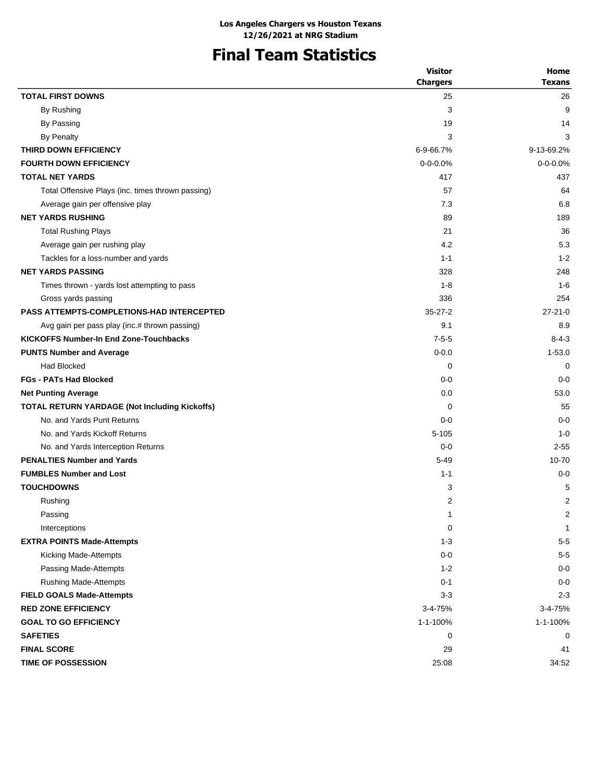# **Final Team Statistics**

|                                                   | <b>Visitor</b>  | Home           |
|---------------------------------------------------|-----------------|----------------|
|                                                   | <b>Chargers</b> | <b>Texans</b>  |
| <b>TOTAL FIRST DOWNS</b>                          | 25              | 26             |
| By Rushing                                        | 3               | 9              |
| By Passing                                        | 19              | 14             |
| <b>By Penalty</b>                                 | 3               | 3              |
| THIRD DOWN EFFICIENCY                             | 6-9-66.7%       | 9-13-69.2%     |
| <b>FOURTH DOWN EFFICIENCY</b>                     | $0 - 0 - 0.0%$  | $0 - 0 - 0.0%$ |
| <b>TOTAL NET YARDS</b>                            | 417             | 437            |
| Total Offensive Plays (inc. times thrown passing) | 57              | 64             |
| Average gain per offensive play                   | 7.3             | 6.8            |
| <b>NET YARDS RUSHING</b>                          | 89              | 189            |
| <b>Total Rushing Plays</b>                        | 21              | 36             |
| Average gain per rushing play                     | 4.2             | 5.3            |
| Tackles for a loss-number and yards               | $1 - 1$         | $1 - 2$        |
| <b>NET YARDS PASSING</b>                          | 328             | 248            |
| Times thrown - yards lost attempting to pass      | $1 - 8$         | $1 - 6$        |
| Gross yards passing                               | 336             | 254            |
| <b>PASS ATTEMPTS-COMPLETIONS-HAD INTERCEPTED</b>  | $35 - 27 - 2$   | $27 - 21 - 0$  |
| Avg gain per pass play (inc.# thrown passing)     | 9.1             | 8.9            |
| <b>KICKOFFS Number-In End Zone-Touchbacks</b>     | $7 - 5 - 5$     | $8 - 4 - 3$    |
| <b>PUNTS Number and Average</b>                   | $0 - 0.0$       | $1 - 53.0$     |
| <b>Had Blocked</b>                                | 0               | 0              |
| <b>FGs - PATs Had Blocked</b>                     | $0-0$           | $0 - 0$        |
| <b>Net Punting Average</b>                        | 0.0             | 53.0           |
| TOTAL RETURN YARDAGE (Not Including Kickoffs)     | 0               | 55             |
| No. and Yards Punt Returns                        | $0-0$           | $0 - 0$        |
| No. and Yards Kickoff Returns                     | $5 - 105$       | $1 - 0$        |
| No. and Yards Interception Returns                | $0-0$           | $2 - 55$       |
| <b>PENALTIES Number and Yards</b>                 | $5 - 49$        | 10-70          |
| <b>FUMBLES Number and Lost</b>                    | $1 - 1$         | $0 - 0$        |
| <b>TOUCHDOWNS</b>                                 | 3               | 5              |
| Rushing                                           | $\overline{2}$  | 2              |
| Passing                                           | 1               | 2              |
| Interceptions                                     | $\mathbf 0$     | 1              |
| <b>EXTRA POINTS Made-Attempts</b>                 | $1 - 3$         | $5-5$          |
| Kicking Made-Attempts                             | $0-0$           | $5-5$          |
| Passing Made-Attempts                             | $1 - 2$         | $0-0$          |
| <b>Rushing Made-Attempts</b>                      | $0 - 1$         | $0-0$          |
| <b>FIELD GOALS Made-Attempts</b>                  | $3 - 3$         | $2 - 3$        |
| <b>RED ZONE EFFICIENCY</b>                        | 3-4-75%         | 3-4-75%        |
| <b>GOAL TO GO EFFICIENCY</b>                      | 1-1-100%        | 1-1-100%       |
| <b>SAFETIES</b>                                   | 0               | 0              |
| <b>FINAL SCORE</b>                                | 29              | 41             |
| TIME OF POSSESSION                                | 25:08           | 34:52          |
|                                                   |                 |                |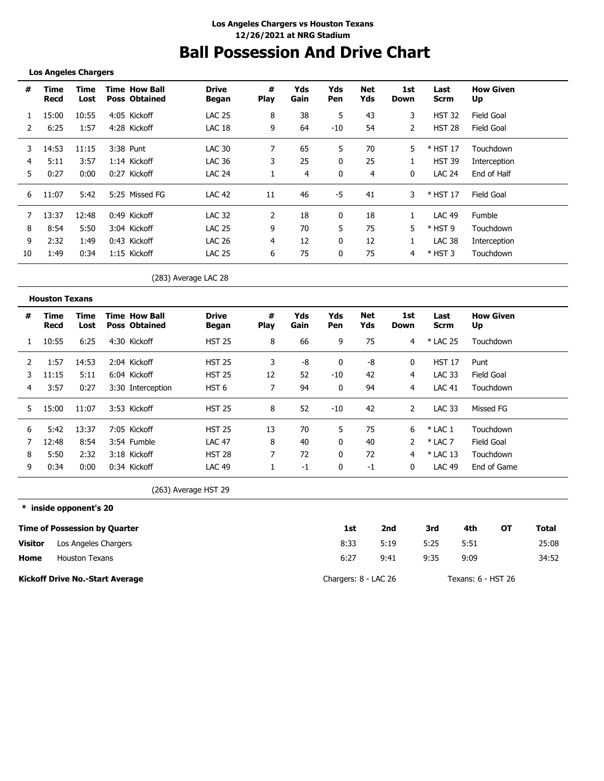## **Ball Possession And Drive Chart**

#### **Los Angeles Chargers**

| #  | Time<br>Recd | Time<br>Lost | <b>Time How Ball</b><br><b>Poss Obtained</b> | <b>Drive</b><br>Began | #<br><b>Play</b> | Yds<br>Gain | Yds<br>Pen | Net<br>Yds | 1st<br>Down | Last<br><b>Scrm</b> | <b>How Given</b><br>Up |
|----|--------------|--------------|----------------------------------------------|-----------------------|------------------|-------------|------------|------------|-------------|---------------------|------------------------|
|    | 15:00        | 10:55        | 4:05 Kickoff                                 | <b>LAC 25</b>         | 8                | 38          | 5          | 43         | 3           | <b>HST 32</b>       | Field Goal             |
|    | 6:25         | 1:57         | 4:28 Kickoff                                 | LAC 18                | 9                | 64          | $-10$      | 54         | 2           | <b>HST 28</b>       | Field Goal             |
| 3  | 14:53        | 11:15        | 3:38 Punt                                    | LAC 30                |                  | 65          | 5          | 70         | 5           | $*$ HST 17          | Touchdown              |
| 4  | 5:11         | 3:57         | 1:14 Kickoff                                 | LAC 36                | 3                | 25          | 0          | 25         |             | <b>HST 39</b>       | Interception           |
| 5  | 0:27         | 0:00         | 0:27 Kickoff                                 | <b>LAC 24</b>         |                  | 4           | 0          | 4          | 0           | <b>LAC 24</b>       | End of Half            |
| 6  | 11:07        | 5:42         | 5:25 Missed FG                               | <b>LAC 42</b>         | 11               | 46          | -5         | 41         | 3           | * HST 17            | Field Goal             |
|    | 13:37        | 12:48        | 0:49 Kickoff                                 | <b>LAC 32</b>         | 2                | 18          | 0          | 18         |             | <b>LAC 49</b>       | <b>Fumble</b>          |
| 8  | 8:54         | 5:50         | 3:04 Kickoff                                 | <b>LAC 25</b>         | 9                | 70          | 5          | 75         | 5           | $*$ HST 9           | Touchdown              |
| 9  | 2:32         | 1:49         | 0:43 Kickoff                                 | <b>LAC 26</b>         | 4                | 12          | 0          | 12         |             | <b>LAC 38</b>       | Interception           |
| 10 | 1:49         | 0:34         | 1:15 Kickoff                                 | <b>LAC 25</b>         | 6                | 75          | 0          | 75         | 4           | $*$ HST 3           | Touchdown              |

(283) Average LAC 28

|    | <b>Houston Texans</b> |              |                                              |                       |                  |             |            |            |             |               |                        |
|----|-----------------------|--------------|----------------------------------------------|-----------------------|------------------|-------------|------------|------------|-------------|---------------|------------------------|
| #  | Time<br>Recd          | Time<br>Lost | <b>Time How Ball</b><br><b>Poss Obtained</b> | <b>Drive</b><br>Began | #<br><b>Play</b> | Yds<br>Gain | Yds<br>Pen | Net<br>Yds | 1st<br>Down | Last<br>Scrm  | <b>How Given</b><br>Up |
|    | 10:55                 | 6:25         | 4:30 Kickoff                                 | <b>HST 25</b>         | 8                | 66          | 9          | 75         | 4           | * LAC 25      | Touchdown              |
|    | 1:57                  | 14:53        | 2:04 Kickoff                                 | <b>HST 25</b>         | 3                | -8          |            | -8         | 0           | <b>HST 17</b> | Punt                   |
|    | 11:15                 | 5:11         | 6:04 Kickoff                                 | <b>HST 25</b>         | 12               | 52          | $-10$      | 42         | 4           | LAC 33        | Field Goal             |
| 4  | 3:57                  | 0:27         | 3:30 Interception                            | HST <sub>6</sub>      | 7                | 94          | 0          | 94         | 4           | <b>LAC 41</b> | Touchdown              |
| 5. | 15:00                 | 11:07        | 3:53 Kickoff                                 | <b>HST 25</b>         | 8                | 52          | -10        | 42         | 2           | <b>LAC 33</b> | Missed FG              |
| 6  | 5:42                  | 13:37        | 7:05 Kickoff                                 | <b>HST 25</b>         | 13               | 70          | 5          | 75         | 6           | $*$ LAC 1     | Touchdown              |
|    | 12:48                 | 8:54         | 3:54 Fumble                                  | <b>LAC 47</b>         | 8                | 40          | $\Omega$   | 40         |             | $*$ LAC 7     | Field Goal             |
| 8  | 5:50                  | 2:32         | 3:18 Kickoff                                 | <b>HST 28</b>         | 7                | 72          | 0          | 72         | 4           | $*$ LAC 13    | Touchdown              |
| 9  | 0:34                  | 0:00         | 0:34 Kickoff                                 | LAC <sub>49</sub>     |                  | -1          | 0          | -1         | 0           | <b>LAC 49</b> | End of Game            |

(263) Average HST 29

**\* inside opponent's 20 Time of Possession by Quarter Home Visitor Kickoff Drive No.-Start Average 1st 2nd 3rd 4th OT Total** 8:33 6:27 5:19 5:25 5:51 25:08 9:41 9:35 9:09 34:52 Chargers: 8 - LAC 26 Texans: 6 - HST 26 Los Angeles Chargers Houston Texans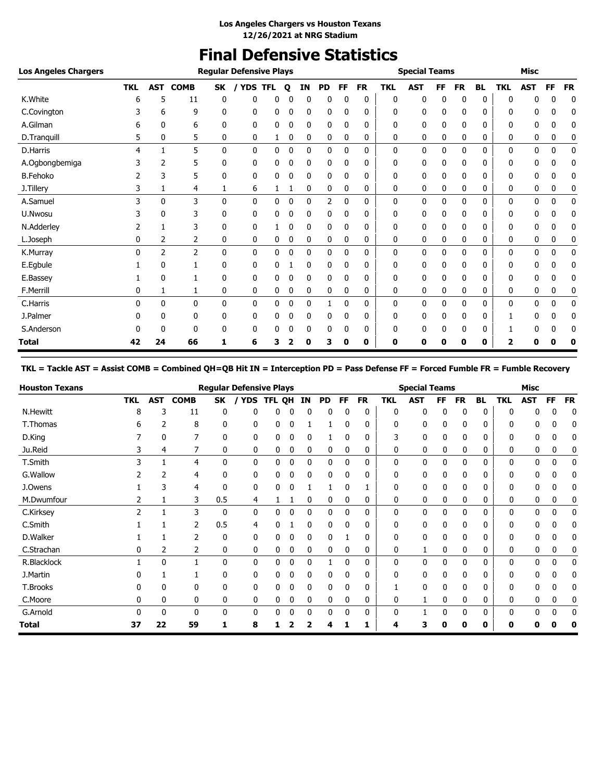# **Final Defensive Statistics**

| <b>Los Angeles Chargers</b> |            |              |             |    | <b>Regular Defensive Plays</b> |   |   |    |           |              |           |            | <b>Special Teams</b> |    |           |              |            | <b>Misc</b> |           |           |
|-----------------------------|------------|--------------|-------------|----|--------------------------------|---|---|----|-----------|--------------|-----------|------------|----------------------|----|-----------|--------------|------------|-------------|-----------|-----------|
|                             | <b>TKL</b> | AST          | <b>COMB</b> | SK | YDS TFL                        |   | Q | ΙN | <b>PD</b> | FF.          | <b>FR</b> | <b>TKL</b> | <b>AST</b>           | FF | <b>FR</b> | <b>BL</b>    | <b>TKL</b> | <b>AST</b>  | <b>FF</b> | <b>FR</b> |
| K.White                     | h          | 5            | 11          | 0  | 0                              | 0 |   | 0  | 0         |              | 0         | 0          | 0                    | 0  | 0         | 0            | 0          | n           | 0         | 0         |
| C.Covington                 |            | 6            | 9           | 0  | 0                              | 0 | 0 | 0  | 0         | 0            | 0         | 0          | 0                    | 0  | 0         | 0            | 0          | 0           | 0         | 0         |
| A.Gilman                    | 6          | 0            | 6           | 0  | 0                              | 0 | 0 | 0  | 0         | 0            | 0         | 0          | 0                    | 0  | 0         | 0            | 0          | 0           | 0         | 0         |
| D.Tranquill                 | 5          | 0            | 5           | 0  | 0                              | 1 | 0 | 0  | 0         | 0            | 0         | 0          | 0                    | 0  | 0         | 0            | 0          | 0           | 0         | 0         |
| D.Harris                    | 4          |              | 5           | 0  | 0                              | 0 | 0 | 0  | 0         | $\mathbf{0}$ | 0         | 0          | 0                    | 0  | 0         | 0            | 0          | 0           | 0         | 0         |
| A.Ogbongbemiga              |            | 2            | 5           | 0  | 0                              | 0 | 0 | 0  | 0         | 0            | 0         | 0          | 0                    | 0  | 0         | 0            | 0          | 0           | 0         | 0         |
| <b>B.Fehoko</b>             |            | 3            | 5           | 0  | 0                              | 0 | 0 | 0  | 0         | 0            | 0         | 0          | 0                    | 0  | 0         | 0            | 0          | 0           | 0         | 0         |
| J.Tillery                   | 3          | 1            | 4           | 1  | 6                              | 1 |   | 0  | 0         | 0            | 0         | 0          | 0                    | 0  | 0         | 0            | 0          | 0           | 0         | 0         |
| A.Samuel                    | 3          | 0            | 3           | 0  | 0                              | 0 | 0 | 0  | 2         | 0            | 0         | 0          | 0                    | 0  | 0         | 0            | 0          | 0           | 0         | 0         |
| U.Nwosu                     |            | 0            | 3           | 0  | 0                              | 0 | 0 | 0  | 0         | 0            | 0         | 0          | 0                    | 0  | 0         | 0            | 0          | 0           | 0         | 0         |
| N.Adderley                  |            |              | 3           | 0  | 0                              |   | 0 | 0  | 0         | 0            | 0         | 0          | 0                    | 0  | 0         | 0            | 0          | 0           | 0         | 0         |
| L.Joseph                    | 0          | 2            | 2           | 0  | 0                              | 0 | 0 | 0  | 0         | 0            | 0         | 0          | 0                    | 0  | 0         | 0            | 0          | 0           | 0         | 0         |
| K.Murray                    | 0          | 2            | 2           | 0  | 0                              | 0 | 0 | 0  | 0         | 0            | 0         | 0          | 0                    | 0  | 0         | 0            | 0          | 0           | 0         | 0         |
| E.Egbule                    |            | $\mathbf{0}$ |             | 0  | 0                              | 0 |   | 0  | 0         | 0            | 0         | 0          | 0                    | 0  | 0         | 0            | 0          | 0           | 0         | 0         |
| E.Bassey                    |            | $\mathbf{0}$ | 1           | 0  | 0                              | 0 | 0 | 0  | 0         | $\Omega$     | 0         | 0          | 0                    | 0  | 0         | 0            | 0          | 0           | 0         | 0         |
| F.Merrill                   | 0          | 1            | 1           | 0  | 0                              | 0 | 0 | 0  | 0         | 0            | 0         | 0          | 0                    | 0  | 0         | 0            | 0          | 0           | 0         | 0         |
| C.Harris                    | 0          | $\mathbf{0}$ | 0           | 0  | 0                              | 0 | 0 | 0  |           | 0            | 0         | 0          | 0                    | 0  | 0         | $\mathbf{0}$ | 0          | 0           | 0         | 0         |
| J.Palmer                    | 0          | 0            | 0           | 0  | 0                              | 0 | 0 | 0  | 0         | 0            | 0         | 0          | 0                    | 0  | 0         | 0            |            | 0           | 0         | 0         |
| S.Anderson                  | 0          | $\Omega$     | 0           | 0  | 0                              | 0 | 0 | 0  | 0         | 0            | 0         | 0          | 0                    | 0  | 0         | 0            |            | 0           | 0         | 0         |
| Total                       | 42         | 24           | 66          | 1  | 6                              | з |   | 0  | 3         | 0            | 0         | 0          | 0                    | 0  | 0         | 0            | 2          | 0           | 0         | 0         |

### **TKL = Tackle AST = Assist COMB = Combined QH=QB Hit IN = Interception PD = Pass Defense FF = Forced Fumble FR = Fumble Recovery**

| <b>Houston Texans</b> |            |            |                |              | <b>Regular Defensive Plays</b> |               |   |              |           |          |           |            | <b>Special Teams</b> |    |           |           |            | Misc       |              |           |
|-----------------------|------------|------------|----------------|--------------|--------------------------------|---------------|---|--------------|-----------|----------|-----------|------------|----------------------|----|-----------|-----------|------------|------------|--------------|-----------|
|                       | <b>TKL</b> | <b>AST</b> | <b>COMB</b>    | SK           | <b>YDS</b>                     | <b>TFL QH</b> |   | ΙN           | <b>PD</b> | FF       | <b>FR</b> | <b>TKL</b> | AST                  | FF | <b>FR</b> | <b>BL</b> | <b>TKL</b> | <b>AST</b> | <b>FF</b>    | <b>FR</b> |
| <b>N.Hewitt</b>       | 8          |            | 11             | 0            | n                              | 0             |   |              |           |          | 0         | 0          | 0                    | 0  | 0         | ŋ         |            |            |              | 0         |
| T.Thomas              | h          |            | 8              | 0            | 0                              | 0             | 0 |              |           |          | 0         | 0          | 0                    | 0  | 0         | 0         |            | 0          | 0            | 0         |
| D.King                |            | 0          | 7              | 0            | 0                              | 0             | 0 | 0            |           |          | 0         | 3          | 0                    | 0  | 0         | 0         | 0          | 0          | 0            |           |
| Ju.Reid               |            | 4          |                | 0            | 0                              | 0             | 0 | 0            | 0         | 0        | 0         | 0          | 0                    | 0  | 0         | 0         | 0          | 0          | 0            | 0         |
| T.Smith               |            |            | 4              | $\mathbf{0}$ | 0                              | 0             | 0 | 0            | 0         | 0        | 0         | 0          | 0                    | 0  | 0         | $\Omega$  | 0          | 0          | 0            | 0         |
| G.Wallow              |            |            | 4              | 0            | 0                              | 0             |   | 0            | 0         |          | 0         |            | 0                    |    |           |           |            |            |              |           |
| J.Owens               |            |            | 4              | 0            | 0                              | 0             |   |              |           |          |           |            | 0                    | 0  |           |           |            |            | 0            |           |
| M.Dwumfour            |            |            | 3              | 0.5          | 4                              |               |   | 0            | 0         | 0        | 0         | 0          | 0                    | 0  | 0         | 0         | 0          | 0          | 0            | 0         |
| C.Kirksey             | 2          |            | 3              | $\mathbf{0}$ | 0                              | 0             | 0 | 0            | 0         | $\Omega$ | 0         | 0          | 0                    | 0  | 0         | $\Omega$  | 0          | 0          | $\mathbf{0}$ | 0         |
| C.Smith               |            |            | 2              | 0.5          | 4                              | 0             |   | $\mathbf{0}$ | 0         | 0        | 0         | 0          | 0                    | 0  | 0         | 0         | 0          | 0          | 0            | 0         |
| D.Walker              |            |            | $\overline{2}$ | $\mathbf{0}$ | 0                              | 0             | 0 | 0            | 0         |          | 0         | 0          | $\mathbf{0}$         | 0  | 0         | 0         | 0          | 0          | 0            |           |
| C.Strachan            |            | 2          | 2              | 0            | 0                              | 0             | 0 | 0            | 0         | 0        | 0         | 0          |                      | 0  | 0         | 0         | 0          | 0          | 0            | 0         |
| R.Blacklock           |            | 0          |                | 0            | $\mathbf{0}$                   | 0             | 0 | 0            |           | 0        | 0         | 0          | $\mathbf{0}$         | 0  | 0         | $\Omega$  | 0          | 0          | 0            | 0         |
| J.Martin              |            |            |                | 0            | 0                              | 0             |   |              | 0         |          | 0         | 0          | 0                    |    |           | 0         |            |            |              |           |
| T.Brooks              |            | 0          | 0              | 0            | 0                              | 0             |   |              | 0         |          | 0         |            | $\Omega$             | 0  |           | U         |            | n          | 0            |           |
| C.Moore               | 0          | 0          | 0              | 0            | 0                              | 0             | 0 | 0            | 0         | 0        | 0         | 0          |                      | 0  | 0         | 0         | 0          | 0          | 0            | 0         |
| G.Arnold              |            | 0          | 0              | 0            | 0                              | 0             | 0 | 0            | 0         | $\Omega$ | 0         | 0          |                      | 0  | 0         | $\Omega$  | 0          | 0          | 0            | 0         |
| Total                 | 37         | 22         | 59             |              | 8                              |               |   |              |           |          |           |            |                      |    | 0         | 0         | 0          |            |              | 0         |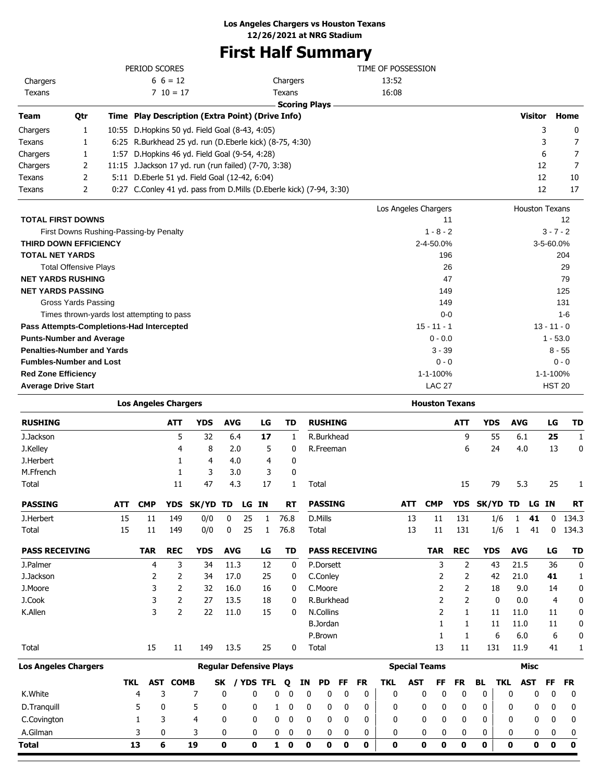# **First Half Summary**

|                                   |                              |      | PERIOD SCORES                                           |                                                                     | TIME OF POSSESSION   |                       |               |
|-----------------------------------|------------------------------|------|---------------------------------------------------------|---------------------------------------------------------------------|----------------------|-----------------------|---------------|
| Chargers                          |                              |      | $6\; 6 = 12$                                            | Chargers                                                            | 13:52                |                       |               |
| Texans                            |                              |      | $710 = 17$                                              | Texans                                                              | 16:08                |                       |               |
|                                   |                              |      |                                                         | <b>Scoring Plays</b>                                                |                      |                       |               |
| <b>Team</b>                       | Qtr                          |      | Time Play Description (Extra Point) (Drive Info)        |                                                                     |                      | <b>Visitor</b>        | Home          |
| Chargers                          | 1                            |      | 10:55 D. Hopkins 50 yd. Field Goal (8-43, 4:05)         |                                                                     |                      | 3                     | 0             |
| Texans                            | 1                            |      | 6:25 R.Burkhead 25 yd. run (D.Eberle kick) (8-75, 4:30) |                                                                     |                      | 3                     | 7             |
| Chargers                          | 1                            | 1:57 | D. Hopkins 46 yd. Field Goal (9-54, 4:28)               |                                                                     |                      | 6                     | 7             |
| Chargers                          | 2                            |      | 11:15 J.Jackson 17 yd. run (run failed) (7-70, 3:38)    |                                                                     |                      | 12                    | 7             |
| Texans                            | 2                            |      | 5:11 D.Eberle 51 yd. Field Goal (12-42, 6:04)           |                                                                     |                      | 12                    | 10            |
| Texans                            | 2                            |      |                                                         | 0:27 C.Conley 41 yd. pass from D.Mills (D.Eberle kick) (7-94, 3:30) |                      | 12                    | 17            |
|                                   |                              |      |                                                         |                                                                     | Los Angeles Chargers | <b>Houston Texans</b> |               |
| <b>TOTAL FIRST DOWNS</b>          |                              |      |                                                         |                                                                     | 11                   |                       | 12            |
|                                   |                              |      | First Downs Rushing-Passing-by Penalty                  |                                                                     | $1 - 8 - 2$          |                       | $3 - 7 - 2$   |
| <b>THIRD DOWN EFFICIENCY</b>      |                              |      |                                                         |                                                                     | 2-4-50.0%            |                       | 3-5-60.0%     |
| <b>TOTAL NET YARDS</b>            |                              |      |                                                         |                                                                     | 196                  |                       | 204           |
|                                   | <b>Total Offensive Plays</b> |      |                                                         |                                                                     | 26                   |                       | 29            |
| <b>NET YARDS RUSHING</b>          |                              |      |                                                         |                                                                     | 47                   |                       | 79            |
| <b>NET YARDS PASSING</b>          |                              |      |                                                         |                                                                     | 149                  |                       | 125           |
|                                   | Gross Yards Passing          |      |                                                         |                                                                     | 149                  |                       | 131           |
|                                   |                              |      | Times thrown-yards lost attempting to pass              |                                                                     | $0 - 0$              |                       | $1 - 6$       |
|                                   |                              |      | Pass Attempts-Completions-Had Intercepted               |                                                                     | $15 - 11 - 1$        |                       | $13 - 11 - 0$ |
| <b>Punts-Number and Average</b>   |                              |      |                                                         |                                                                     | $0 - 0.0$            |                       | $1 - 53.0$    |
| <b>Penalties-Number and Yards</b> |                              |      |                                                         |                                                                     | $3 - 39$             |                       | $8 - 55$      |
| <b>Fumbles-Number and Lost</b>    |                              |      |                                                         |                                                                     | $0 - 0$              |                       | $0 - 0$       |
| <b>Red Zone Efficiency</b>        |                              |      |                                                         |                                                                     | 1-1-100%             |                       | 1-1-100%      |
| <b>Average Drive Start</b>        |                              |      |                                                         |                                                                     | <b>LAC 27</b>        |                       | <b>HST 20</b> |

|                             |            | <b>Los Angeles Chargers</b> |                |                                |            |     |           |   |              |              |                       |              |           |   |              |            | <b>Houston Texans</b> |              |            |            |            |             |              |           |
|-----------------------------|------------|-----------------------------|----------------|--------------------------------|------------|-----|-----------|---|--------------|--------------|-----------------------|--------------|-----------|---|--------------|------------|-----------------------|--------------|------------|------------|------------|-------------|--------------|-----------|
| <b>RUSHING</b>              |            |                             | <b>ATT</b>     | <b>YDS</b>                     | <b>AVG</b> |     | LG        |   | <b>TD</b>    |              | <b>RUSHING</b>        |              |           |   |              |            |                       | <b>ATT</b>   | <b>YDS</b> |            | <b>AVG</b> |             | LG           | <b>TD</b> |
| J.Jackson                   |            |                             | 5              | 32                             |            | 6.4 | 17        |   | $\mathbf{1}$ |              | R.Burkhead            |              |           |   |              |            |                       | 9            |            | 55         | 6.1        |             | 25           | 1         |
| J.Kelley                    |            |                             | 4              | 8                              |            | 2.0 | 5         |   | 0            |              | R.Freeman             |              |           |   |              |            |                       | 6            |            | 24         | 4.0        |             | 13           | 0         |
| J.Herbert                   |            |                             | 1              | 4                              |            | 4.0 | 4         |   | 0            |              |                       |              |           |   |              |            |                       |              |            |            |            |             |              |           |
| M.Ffrench                   |            |                             | 1              | 3                              |            | 3.0 | 3         |   | 0            |              |                       |              |           |   |              |            |                       |              |            |            |            |             |              |           |
| Total                       |            |                             | 11             | 47                             |            | 4.3 | 17        |   | 1            |              | Total                 |              |           |   |              |            |                       | 15           |            | 79         | 5.3        |             | 25           | 1         |
| <b>PASSING</b>              | <b>ATT</b> | <b>CMP</b>                  | <b>YDS</b>     | <b>SK/YD</b>                   | TD         |     | LG IN     |   | <b>RT</b>    |              | <b>PASSING</b>        |              |           |   |              | <b>ATT</b> | <b>CMP</b>            | <b>YDS</b>   | SK/YD TD   |            |            | LG IN       |              | <b>RT</b> |
| J.Herbert                   | 15         | 11                          | 149            | 0/0                            | 0          | 25  | 1         |   | 76.8         |              | D.Mills               |              |           |   |              | 13         | 11                    | 131          |            | 1/6        | 1          | 41          | 0            | 134.3     |
| Total                       | 15         | 11                          | 149            | 0/0                            | 0          | 25  | 1         |   | 76.8         |              | Total                 |              |           |   |              | 13         | 11                    | 131          |            | 1/6        | 1          | 41          | $\mathbf{0}$ | 134.3     |
| <b>PASS RECEIVING</b>       |            | <b>TAR</b>                  | <b>REC</b>     | <b>YDS</b>                     | <b>AVG</b> |     | LG        |   | TD           |              | <b>PASS RECEIVING</b> |              |           |   |              |            | <b>TAR</b>            | <b>REC</b>   | <b>YDS</b> |            | <b>AVG</b> |             | LG           | <b>TD</b> |
| J.Palmer                    |            | 4                           | 3              | 34                             | 11.3       |     | 12        |   | 0            |              | P.Dorsett             |              |           |   |              |            | 3                     | 2            |            | 43         | 21.5       |             | 36           | 0         |
| J.Jackson                   |            | 2                           | 2              | 34                             | 17.0       |     | 25        |   | 0            |              | C.Conley              |              |           |   |              |            | 2                     | 2            |            | 42         | 21.0       |             | 41           | 1         |
| J.Moore                     |            | 3                           | $\overline{2}$ | 32                             | 16.0       |     | 16        |   | 0            |              | C.Moore               |              |           |   |              |            | 2                     | 2            |            | 18         | 9.0        |             | 14           | 0         |
| J.Cook                      |            | 3                           | 2              | 27                             | 13.5       |     | 18        |   | 0            |              | R.Burkhead            |              |           |   |              |            | 2                     | 2            |            | 0          | 0.0        |             | 4            | 0         |
| K.Allen                     |            | 3                           | $\overline{2}$ | 22                             | 11.0       |     | 15        |   | 0            |              | N.Collins             |              |           |   |              |            | 2                     | 1            |            | 11         | 11.0       |             | 11           | 0         |
|                             |            |                             |                |                                |            |     |           |   |              |              | <b>B.Jordan</b>       |              |           |   |              |            | 1                     | $\mathbf{1}$ |            | 11         | 11.0       |             | 11           | 0         |
|                             |            |                             |                |                                |            |     |           |   |              |              | P.Brown               |              |           |   |              |            | 1                     | $\mathbf{1}$ |            | 6          | 6.0        |             | 6            | 0         |
| Total                       |            | 15                          | 11             | 149                            | 13.5       |     | 25        |   | 0            |              | Total                 |              |           |   |              |            | 13                    | 11           | 131        |            | 11.9       |             | 41           | 1         |
| <b>Los Angeles Chargers</b> |            |                             |                | <b>Regular Defensive Plays</b> |            |     |           |   |              |              |                       |              |           |   |              |            | <b>Special Teams</b>  |              |            |            |            | <b>Misc</b> |              |           |
|                             | <b>TKL</b> | <b>AST</b>                  | <b>COMB</b>    |                                | SK         |     | / YDS TFL |   | Q            | ΙN           | <b>PD</b>             | FF           | <b>FR</b> |   | <b>TKL</b>   | <b>AST</b> | FF                    | <b>FR</b>    | BL         | <b>TKL</b> |            | <b>AST</b>  | FF           | <b>FR</b> |
| K.White                     |            | 4                           | 3              | 7                              | 0          |     | 0         | 0 | 0            | $\mathbf{0}$ | 0                     | $\mathbf{0}$ |           | 0 | $\mathbf{0}$ |            | $\mathbf 0$<br>0      | 0            | 0          |            | 0          | 0           | $\mathbf 0$  | 0         |
| D.Tranquill                 |            | 5                           | 0              | 5                              | 0          |     | 0         | 1 | 0            | 0            | 0                     | 0            |           | 0 | 0            |            | 0<br>0                | 0            | 0          |            | 0          | 0           | 0            | 0         |
| C.Covington                 |            | 1                           | 3              | 4                              | 0          |     | 0         | 0 | 0            | 0            | 0                     | 0            |           | 0 | 0            |            | 0<br>0                | 0            | 0          |            | 0          | 0           | 0            | 0         |
| A.Gilman                    |            | 3                           | $\mathbf{0}$   | 3                              | 0          |     | 0         | 0 | 0            | 0            | 0                     | 0            |           | 0 | 0            |            | 0<br>0                | 0            | 0          |            | 0          | 0           | 0            | 0         |
| Total                       |            | 13                          | 6              | 19                             | 0          |     | 0         | 1 | 0            | 0            | 0                     | $\mathbf 0$  |           | 0 | 0            |            | 0<br>0                | 0            | 0          |            | 0          | 0           | 0            | $\bf{0}$  |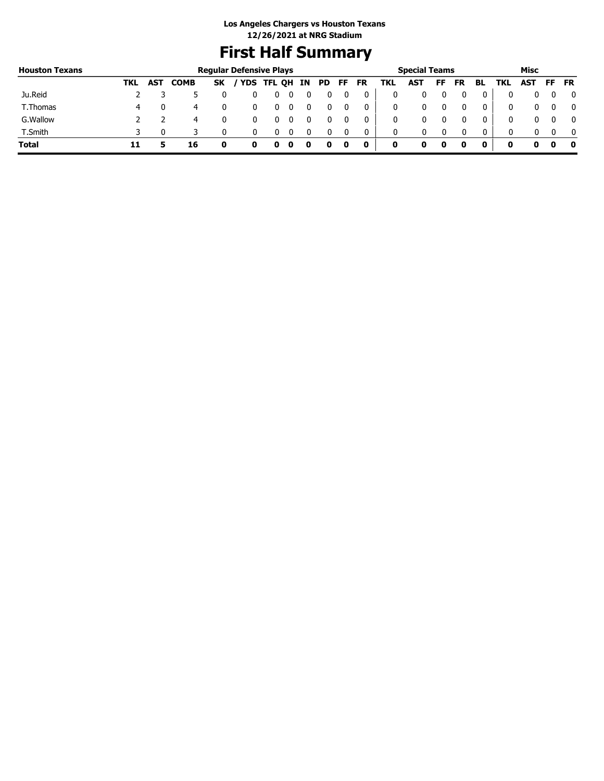# **First Half Summary**

| <b>Houston Texans</b> |     |            |             |           | <b>Regular Defensive Plays</b> |                   |    |    |    |           |     | <b>Special Teams</b> |    |           |    |     | Misc       |     |           |
|-----------------------|-----|------------|-------------|-----------|--------------------------------|-------------------|----|----|----|-----------|-----|----------------------|----|-----------|----|-----|------------|-----|-----------|
|                       | TKL | <b>AST</b> | <b>COMB</b> | <b>SK</b> |                                | <b>YDS TFL QH</b> | IN | PD | FF | <b>FR</b> | TKL | <b>AST</b>           | FF | <b>FR</b> | BL | TKL | <b>AST</b> | FF. | <b>FR</b> |
| Ju.Reid               |     |            |             |           |                                |                   |    |    |    | 0         | 0   |                      |    |           | 0  |     |            |     | 0         |
| T.Thomas              | 4   |            | 4           |           |                                |                   |    |    |    | 0         | 0   |                      |    |           | 0  |     |            |     | 0         |
| G. Wallow             |     |            | 4           |           |                                |                   |    |    |    | 0         | 0   |                      |    |           | 0  |     |            |     | 0         |
| T.Smith               |     |            |             |           |                                |                   |    |    |    | 0         | 0   |                      |    |           | 0  |     |            |     | - 0       |
| <b>Total</b>          |     |            | 16          |           |                                |                   |    |    |    | 0         | 0   | o                    |    |           |    | O   |            |     | 0         |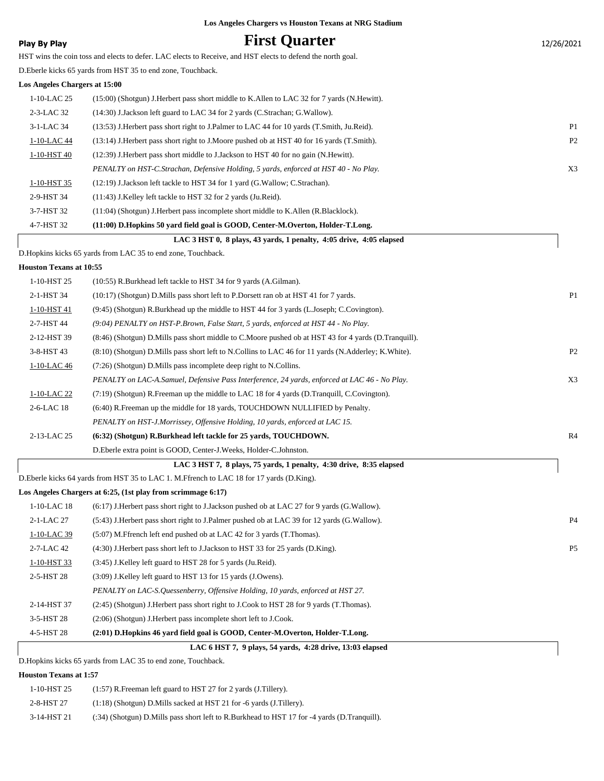### **Play By Play Play Play Play First Quarter** 12/26/2021

HST wins the coin toss and elects to defer. LAC elects to Receive, and HST elects to defend the north goal.

D.Eberle kicks 65 yards from HST 35 to end zone, Touchback.

#### **Los Angeles Chargers at 15:00**

|               | LAC 3 HST 0, 8 plays, 43 yards, 1 penalty, 4:05 drive, 4:05 elapsed                           |                |
|---------------|-----------------------------------------------------------------------------------------------|----------------|
| 4-7-HST 32    | (11:00) D.Hopkins 50 vard field goal is GOOD, Center-M.Overton, Holder-T.Long.                |                |
| 3-7-HST 32    | (11:04) (Shotgun) J. Herbert pass incomplete short middle to K. Allen (R. Blacklock).         |                |
| 2-9-HST 34    | (11:43) J.Kelley left tackle to HST 32 for 2 yards (Ju.Reid).                                 |                |
| 1-10-HST 35   | $(12:19)$ J.Jackson left tackle to HST 34 for 1 yard (G.Wallow; C.Strachan).                  |                |
|               | PENALTY on HST-C.Strachan, Defensive Holding, 5 yards, enforced at HST 40 - No Play.          | X <sub>3</sub> |
| 1-10-HST 40   | (12:39) J. Herbert pass short middle to J. Jackson to HST 40 for no gain (N. Hewitt).         |                |
| 1-10-LAC 44   | (13:14) J. Herbert pass short right to J. Moore pushed ob at HST 40 for 16 yards (T. Smith).  | P <sub>2</sub> |
| 3-1-LAC 34    | (13:53) J. Herbert pass short right to J. Palmer to LAC 44 for 10 yards (T. Smith, Ju. Reid). | P <sub>1</sub> |
| 2-3-LAC 32    | $(14:30)$ J. Jackson left guard to LAC 34 for 2 yards (C. Strachan; G. Wallow).               |                |
| $1-10-LAC$ 25 | (15:00) (Shotgun) J. Herbert pass short middle to K. Allen to LAC 32 for 7 yards (N. Hewitt). |                |
|               |                                                                                               |                |

D.Hopkins kicks 65 yards from LAC 35 to end zone, Touchback.

#### **Houston Texans at 10:55**

| 1-10-HST 25 | (10:55) R.Burkhead left tackle to HST 34 for 9 yards (A.Gilman).                                        |                |
|-------------|---------------------------------------------------------------------------------------------------------|----------------|
| 2-1-HST 34  | (10:17) (Shotgun) D. Mills pass short left to P. Dorsett ran ob at HST 41 for 7 yards.                  | P <sub>1</sub> |
| 1-10-HST 41 | (9:45) (Shotgun) R.Burkhead up the middle to HST 44 for 3 yards (L.Joseph; C.Covington).                |                |
| 2-7-HST 44  | $(9.04)$ PENALTY on HST-P. Brown, False Start, 5 yards, enforced at HST 44 - No Play.                   |                |
| 2-12-HST 39 | (8:46) (Shotgun) D. Mills pass short middle to C. Moore pushed ob at HST 43 for 4 yards (D. Tranquill). |                |
| 3-8-HST 43  | (8:10) (Shotgun) D. Mills pass short left to N. Collins to LAC 46 for 11 yards (N. Adderley; K. White). | P <sub>2</sub> |
| 1-10-LAC 46 | $(7:26)$ (Shotgun) D. Mills pass incomplete deep right to N. Collins.                                   |                |
|             | PENALTY on LAC-A.Samuel, Defensive Pass Interference, 24 yards, enforced at LAC 46 - No Play.           | X3             |
| 1-10-LAC 22 | $(7.19)$ (Shotgun) R. Freeman up the middle to LAC 18 for 4 yards (D. Tranquill, C. Covington).         |                |
| 2-6-LAC 18  | (6:40) R. Freeman up the middle for 18 yards, TOUCHDOWN NULLIFIED by Penalty.                           |                |
|             | PENALTY on HST-J.Morrissey, Offensive Holding, 10 yards, enforced at LAC 15.                            |                |
| 2-13-LAC 25 | (6:32) (Shotgun) R.Burkhead left tackle for 25 yards, TOUCHDOWN.                                        | R <sub>4</sub> |
|             | D. Eberle extra point is GOOD, Center-J. Weeks, Holder-C. Johnston.                                     |                |

### D.Eberle kicks 64 yards from HST 35 to LAC 1. M.Ffrench to LAC 18 for 17 yards (D.King).

#### **Los Angeles Chargers at 6:25, (1st play from scrimmage 6:17)**

|               | LAC 6 HST 7, 9 plays, 54 yards, 4:28 drive, 13:03 elapsed                                       |  |
|---------------|-------------------------------------------------------------------------------------------------|--|
| 4-5-HST 28    | (2:01) D.Hopkins 46 yard field goal is GOOD, Center-M.Overton, Holder-T.Long.                   |  |
| 3-5-HST 28    | (2:06) (Shotgun) J. Herbert pass incomplete short left to J. Cook.                              |  |
| 2-14-HST 37   | (2:45) (Shotgun) J.Herbert pass short right to J.Cook to HST 28 for 9 yards (T.Thomas).         |  |
|               | PENALTY on LAC-S. Quessenberry, Offensive Holding, 10 yards, enforced at HST 27.                |  |
| 2-5-HST 28    | (3:09) J.Kelley left guard to HST 13 for 15 yards (J.Owens).                                    |  |
| 1-10-HST 33   | (3:45) J.Kelley left guard to HST 28 for 5 yards (Ju.Reid).                                     |  |
| $2$ -7-LAC 42 | $(4:30)$ J. Herbert pass short left to J. Jackson to HST 33 for 25 yards (D. King).             |  |
| 1-10-LAC 39   | (5:07) M. Ffrench left end pushed ob at LAC 42 for 3 yards (T. Thomas).                         |  |
| 2-1-LAC 27    | (5:43) J.Herbert pass short right to J.Palmer pushed ob at LAC 39 for 12 yards (G.Wallow).      |  |
| $1-10-LAC$ 18 | $(6.17)$ J. Herbert pass short right to J. Jackson pushed ob at LAC 27 for 9 yards (G. Wallow). |  |
|               |                                                                                                 |  |

 **LAC 3 HST 7, 8 plays, 75 yards, 1 penalty, 4:30 drive, 8:35 elapsed**

D.Hopkins kicks 65 yards from LAC 35 to end zone, Touchback.

#### **Houston Texans at 1:57**

L

| 1-10-HST 25 | $(1:57)$ R. Freeman left guard to HST 27 for 2 yards (J. Tillery).                              |
|-------------|-------------------------------------------------------------------------------------------------|
| 2-8-HST 27  | $(1:18)$ (Shotgun) D.Mills sacked at HST 21 for -6 yards (J.Tillery).                           |
| 3-14-HST 21 | $(34)$ (Shotgun) D. Mills pass short left to R. Burkhead to HST 17 for -4 vards (D. Tranguill). |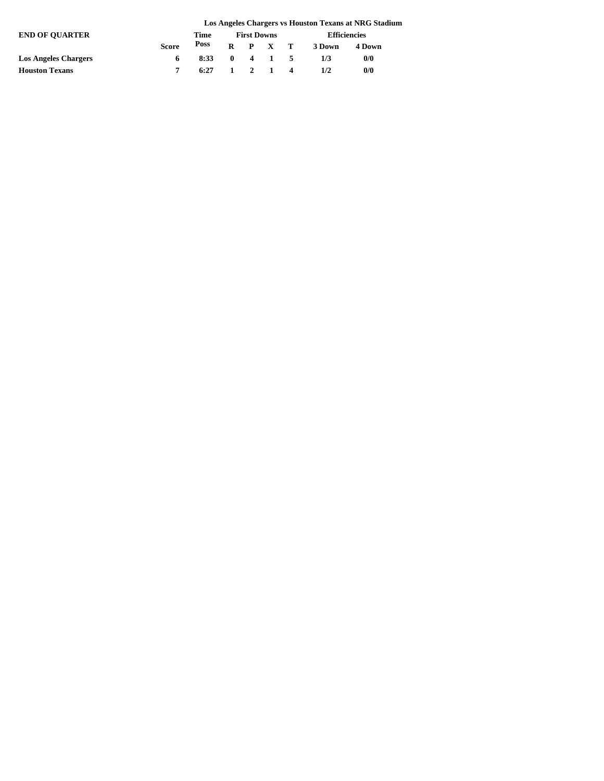|                             |              |      |                    |  |                             |                     | Los Angeles Chargers vs Houston Texans at NRG Stadium |  |  |
|-----------------------------|--------------|------|--------------------|--|-----------------------------|---------------------|-------------------------------------------------------|--|--|
| <b>END OF OUARTER</b>       |              | Time | <b>First Downs</b> |  |                             | <b>Efficiencies</b> |                                                       |  |  |
|                             | <b>Score</b> | Poss |                    |  | R P X T                     | 3 Down              | 4 Down                                                |  |  |
| <b>Los Angeles Chargers</b> |              | 8:33 |                    |  | $0 \t 4 \t 1 \t 5$          | 1/3                 | 0/0                                                   |  |  |
| <b>Houston Texans</b>       |              | 6:27 |                    |  | $1 \quad 2 \quad 1 \quad 4$ | 1/2                 | 0/0                                                   |  |  |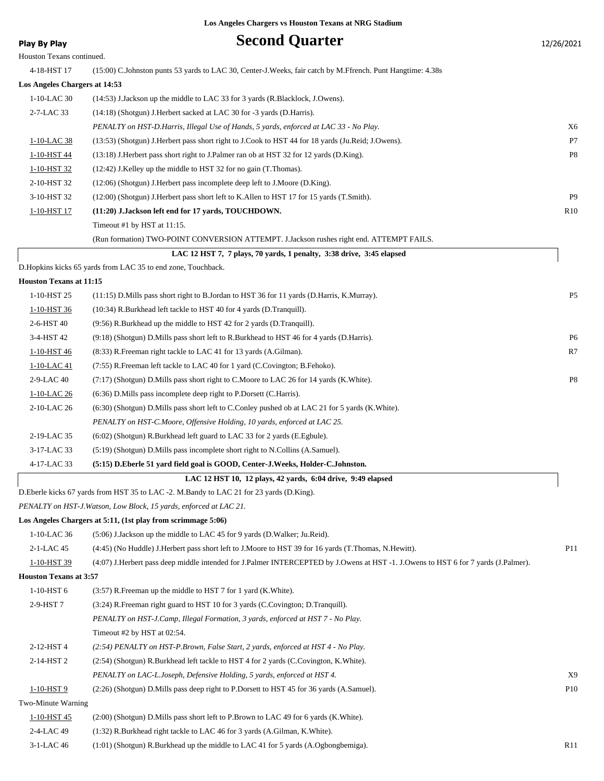| <b>Play By Play</b>            | <b>Second Quarter</b>                                                                                      | 12/26/2021     |
|--------------------------------|------------------------------------------------------------------------------------------------------------|----------------|
| Houston Texans continued.      |                                                                                                            |                |
| 4-18-HST 17                    | (15:00) C.Johnston punts 53 yards to LAC 30, Center-J.Weeks, fair catch by M.Ffrench. Punt Hangtime: 4.38s |                |
| Los Angeles Chargers at 14:53  |                                                                                                            |                |
| 1-10-LAC 30                    | (14:53) J.Jackson up the middle to LAC 33 for 3 yards (R.Blacklock, J.Owens).                              |                |
| 2-7-LAC 33                     | (14:18) (Shotgun) J. Herbert sacked at LAC 30 for -3 yards (D. Harris).                                    |                |
|                                | PENALTY on HST-D.Harris, Illegal Use of Hands, 5 yards, enforced at LAC 33 - No Play.                      | X6             |
| 1-10-LAC 38                    | (13:53) (Shotgun) J.Herbert pass short right to J.Cook to HST 44 for 18 yards (Ju.Reid; J.Owens).          | P7             |
| 1-10-HST 44                    | (13:18) J. Herbert pass short right to J. Palmer ran ob at HST 32 for 12 yards (D. King).                  | P <sub>8</sub> |
| 1-10-HST 32                    | (12:42) J.Kelley up the middle to HST 32 for no gain (T.Thomas).                                           |                |
| 2-10-HST 32                    | (12:06) (Shotgun) J.Herbert pass incomplete deep left to J.Moore (D.King).                                 |                |
| 3-10-HST 32                    | (12:00) (Shotgun) J. Herbert pass short left to K. Allen to HST 17 for 15 yards (T. Smith).                | <b>P9</b>      |
| 1-10-HST 17                    | (11:20) J.Jackson left end for 17 yards, TOUCHDOWN.                                                        | R10            |
|                                | Timeout #1 by HST at 11:15.                                                                                |                |
|                                | (Run formation) TWO-POINT CONVERSION ATTEMPT. J.Jackson rushes right end. ATTEMPT FAILS.                   |                |
|                                | LAC 12 HST 7, 7 plays, 70 vards, 1 penalty, 3:38 drive, 3:45 elapsed                                       |                |
|                                | D.Hopkins kicks 65 yards from LAC 35 to end zone, Touchback.                                               |                |
| <b>Houston Texans at 11:15</b> |                                                                                                            |                |
| 1-10-HST 25                    | (11:15) D. Mills pass short right to B. Jordan to HST 36 for 11 yards (D. Harris, K. Murray).              | P <sub>5</sub> |
| 1-10-HST 36                    | (10:34) R.Burkhead left tackle to HST 40 for 4 yards (D.Tranquill).                                        |                |
| 2-6-HST 40                     | (9:56) R.Burkhead up the middle to HST 42 for 2 yards (D.Tranquill).                                       |                |
| 3-4-HST 42                     | (9:18) (Shotgun) D. Mills pass short left to R. Burkhead to HST 46 for 4 yards (D. Harris).                | P <sub>6</sub> |
| 1-10-HST 46                    | (8:33) R. Freeman right tackle to LAC 41 for 13 yards (A. Gilman).                                         | R7             |

| 1-10-LAC 41    | (7:55) R.Freeman left tackle to LAC 40 for 1 yard (C.Covington; B.Fehoko).                         |    |
|----------------|----------------------------------------------------------------------------------------------------|----|
| 2-9-LAC 40     | $(7:17)$ (Shotgun) D. Mills pass short right to C. Moore to LAC 26 for 14 yards (K. White).        | P8 |
| 1-10-LAC 26    | $(6:36)$ D. Mills pass incomplete deep right to P. Dorsett (C. Harris).                            |    |
| $2-10$ -LAC 26 | (6:30) (Shotgun) D. Mills pass short left to C. Conley pushed ob at LAC 21 for 5 yards (K. White). |    |
|                | PENALTY on HST-C.Moore, Offensive Holding, 10 yards, enforced at LAC 25.                           |    |
| 2-19-LAC 35    | $(6:02)$ (Shotgun) R.Burkhead left guard to LAC 33 for 2 yards (E.Egbule).                         |    |
| 3-17-LAC 33    | (5:19) (Shotgun) D.Mills pass incomplete short right to N.Collins (A.Samuel).                      |    |

### D.Eberle kicks 67 yards from HST 35 to LAC -2. M.Bandy to LAC 21 for 23 yards (D.King).

4-17-LAC 33 **(5:15) D.Eberle 51 yard field goal is GOOD, Center-J.Weeks, Holder-C.Johnston.**

*PENALTY on HST-J.Watson, Low Block, 15 yards, enforced at LAC 21.*

#### **Los Angeles Chargers at 5:11, (1st play from scrimmage 5:06)**

| 1-10-LAC 36                   | $(5:06)$ J.Jackson up the middle to LAC 45 for 9 yards (D.Walker; Ju.Reid).                                                        |                 |
|-------------------------------|------------------------------------------------------------------------------------------------------------------------------------|-----------------|
| 2-1-LAC 45                    | (4:45) (No Huddle) J.Herbert pass short left to J.Moore to HST 39 for 16 yards (T.Thomas, N.Hewitt).                               | P11             |
| 1-10-HST 39                   | (4:07) J.Herbert pass deep middle intended for J.Palmer INTERCEPTED by J.Owens at HST -1. J.Owens to HST 6 for 7 yards (J.Palmer). |                 |
| <b>Houston Texans at 3:57</b> |                                                                                                                                    |                 |
| $1-10-HST6$                   | (3:57) R. Freeman up the middle to HST 7 for 1 yard (K. White).                                                                    |                 |
| 2-9-HST 7                     | (3:24) R. Freeman right guard to HST 10 for 3 yards (C. Covington; D. Tranquill).                                                  |                 |
|                               | PENALTY on HST-J.Camp, Illegal Formation, 3 yards, enforced at HST 7 - No Play.                                                    |                 |
|                               | Timeout #2 by HST at 02:54.                                                                                                        |                 |
| 2-12-HST 4                    | (2:54) PENALTY on HST-P.Brown, False Start, 2 yards, enforced at HST 4 - No Play.                                                  |                 |
| 2-14-HST 2                    | (2.54) (Shotgun) R.Burkhead left tackle to HST 4 for 2 yards (C.Covington, K.White).                                               |                 |
|                               | PENALTY on LAC-L.Joseph, Defensive Holding, 5 yards, enforced at HST 4.                                                            | X9              |
| 1-10-HST 9                    | (2:26) (Shotgun) D. Mills pass deep right to P. Dorsett to HST 45 for 36 yards (A. Samuel).                                        | P <sub>10</sub> |
| Two-Minute Warning            |                                                                                                                                    |                 |
| 1-10-HST 45                   | $(2:00)$ (Shotgun) D. Mills pass short left to P. Brown to LAC 49 for 6 yards (K. White).                                          |                 |
| 2-4-LAC 49                    | $(1:32)$ R.Burkhead right tackle to LAC 46 for 3 yards $(A.Gilman, K.White)$ .                                                     |                 |
| 3-1-LAC 46                    | $(1:01)$ (Shotgun) R.Burkhead up the middle to LAC 41 for 5 yards (A.Ogbongbemiga).                                                | R11             |

 **LAC 12 HST 10, 12 plays, 42 yards, 6:04 drive, 9:49 elapsed**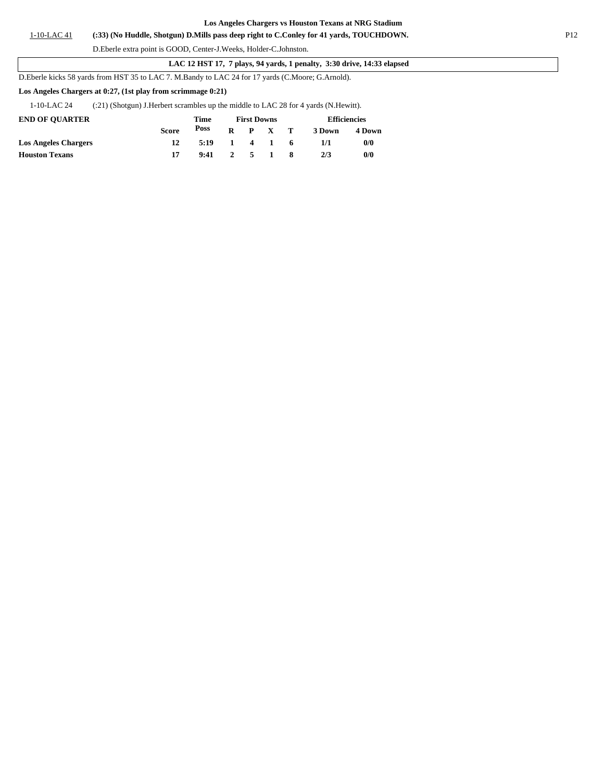#### 1-10-LAC 41 **(:33) (No Huddle, Shotgun) D.Mills pass deep right to C.Conley for 41 yards, TOUCHDOWN.** P12

D.Eberle extra point is GOOD, Center-J.Weeks, Holder-C.Johnston.

 **LAC 12 HST 17, 7 plays, 94 yards, 1 penalty, 3:30 drive, 14:33 elapsed**

D.Eberle kicks 58 yards from HST 35 to LAC 7. M.Bandy to LAC 24 for 17 yards (C.Moore; G.Arnold).

#### **Los Angeles Chargers at 0:27, (1st play from scrimmage 0:21)**

1-10-LAC 24 (:21) (Shotgun) J.Herbert scrambles up the middle to LAC 28 for 4 yards (N.Hewitt).

| <b>END OF OUARTER</b>       |              | Time |              |       | <b>First Downs</b> |    | <b>Efficiencies</b> |        |  |  |
|-----------------------------|--------------|------|--------------|-------|--------------------|----|---------------------|--------|--|--|
|                             | <b>Score</b> | Poss | R.           |       | P X T              |    | 3 Down              | 4 Down |  |  |
| <b>Los Angeles Chargers</b> |              | 5:19 | $\mathbf{1}$ |       | 4 1                | -6 | 1/1                 | 0/0    |  |  |
| <b>Houston Texans</b>       |              | 9:41 |              | 2 5 1 |                    |    | 2/3                 | 0/0    |  |  |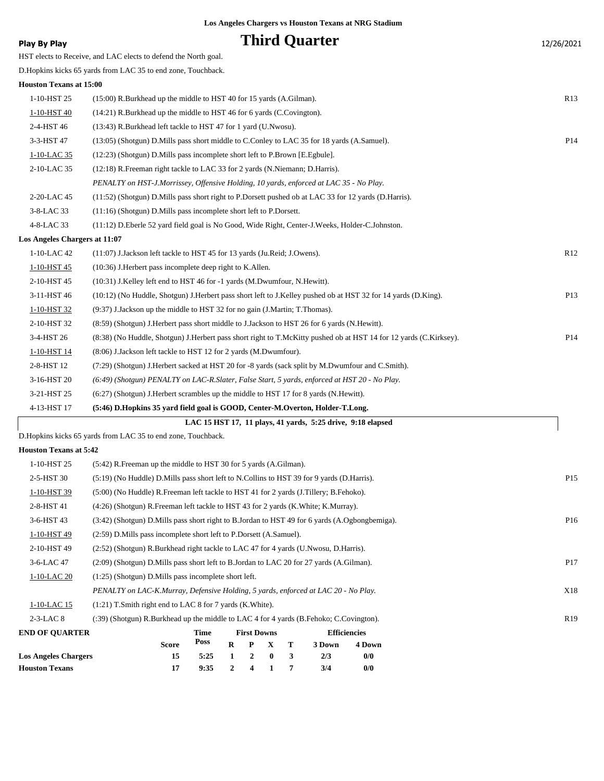### **Play By Play Play Play Play By Play Play By Play Play By Play Play By Play Play Play Play Play Play Play Play Play Play Play Play Play Play Play Play Play Play Play Play**

|                                | HST elects to Receive, and LAC elects to defend the North goal.                                                      |                 |
|--------------------------------|----------------------------------------------------------------------------------------------------------------------|-----------------|
|                                | D. Hopkins kicks 65 yards from LAC 35 to end zone, Touchback.                                                        |                 |
| <b>Houston Texans at 15:00</b> |                                                                                                                      |                 |
| 1-10-HST 25                    | (15:00) R.Burkhead up the middle to HST 40 for 15 yards (A.Gilman).                                                  | R13             |
| 1-10-HST 40                    | (14:21) R.Burkhead up the middle to HST 46 for 6 yards (C.Covington).                                                |                 |
| 2-4-HST 46                     | (13:43) R.Burkhead left tackle to HST 47 for 1 yard (U.Nwosu).                                                       |                 |
| 3-3-HST 47                     | (13:05) (Shotgun) D. Mills pass short middle to C. Conley to LAC 35 for 18 yards (A. Samuel).                        | P <sub>14</sub> |
| 1-10-LAC 35                    | (12:23) (Shotgun) D. Mills pass incomplete short left to P. Brown [E. Egbule].                                       |                 |
| 2-10-LAC 35                    | (12:18) R. Freeman right tackle to LAC 33 for 2 yards (N. Niemann; D. Harris).                                       |                 |
|                                | PENALTY on HST-J.Morrissey, Offensive Holding, 10 yards, enforced at LAC 35 - No Play.                               |                 |
| 2-20-LAC 45                    | (11:52) (Shotgun) D.Mills pass short right to P.Dorsett pushed ob at LAC 33 for 12 yards (D.Harris).                 |                 |
| 3-8-LAC 33                     | $(11:16)$ (Shotgun) D. Mills pass incomplete short left to P. Dorsett.                                               |                 |
| 4-8-LAC 33                     | (11:12) D. Eberle 52 yard field goal is No Good, Wide Right, Center-J. Weeks, Holder-C. Johnston.                    |                 |
| Los Angeles Chargers at 11:07  |                                                                                                                      |                 |
| 1-10-LAC 42                    | (11:07) J.Jackson left tackle to HST 45 for 13 yards (Ju.Reid; J.Owens).                                             | R12             |
| 1-10-HST 45                    | (10:36) J. Herbert pass incomplete deep right to K. Allen.                                                           |                 |
| 2-10-HST 45                    | (10:31) J.Kelley left end to HST 46 for -1 yards (M.Dwumfour, N.Hewitt).                                             |                 |
| 3-11-HST 46                    | (10:12) (No Huddle, Shotgun) J.Herbert pass short left to J.Kelley pushed ob at HST 32 for 14 yards (D.King).        | P <sub>13</sub> |
| 1-10-HST 32                    | (9:37) J.Jackson up the middle to HST 32 for no gain (J.Martin; T.Thomas).                                           |                 |
| 2-10-HST 32                    | (8:59) (Shotgun) J.Herbert pass short middle to J.Jackson to HST 26 for 6 yards (N.Hewitt).                          |                 |
| 3-4-HST 26                     | (8:38) (No Huddle, Shotgun) J. Herbert pass short right to T. McKitty pushed ob at HST 14 for 12 yards (C. Kirksey). | P <sub>14</sub> |
| 1-10-HST 14                    | (8:06) J.Jackson left tackle to HST 12 for 2 yards (M.Dwumfour).                                                     |                 |
| 2-8-HST 12                     | (7:29) (Shotgun) J.Herbert sacked at HST 20 for -8 yards (sack split by M.Dwumfour and C.Smith).                     |                 |
| 3-16-HST 20                    | (6:49) (Shotgun) PENALTY on LAC-R.Slater, False Start, 5 yards, enforced at HST 20 - No Play.                        |                 |
| 3-21-HST 25                    | (6:27) (Shotgun) J.Herbert scrambles up the middle to HST 17 for 8 yards (N.Hewitt).                                 |                 |
| 4-13-HST 17                    | (5:46) D.Hopkins 35 yard field goal is GOOD, Center-M.Overton, Holder-T.Long.                                        |                 |
|                                | LAC 15 HST 17, 11 plays, 41 yards, 5:25 drive, 9:18 elapsed                                                          |                 |

D.Hopkins kicks 65 yards from LAC 35 to end zone, Touchback.

#### **Houston Texans at 5:42**

ı

| <b>Houston Texans</b>       | 17                                                                                            | 9:35                                                                                     | 2            | 4                  |              | 7            | 3/4    | 0/0                 |  |                 |
|-----------------------------|-----------------------------------------------------------------------------------------------|------------------------------------------------------------------------------------------|--------------|--------------------|--------------|--------------|--------|---------------------|--|-----------------|
| <b>Los Angeles Chargers</b> | 15                                                                                            | 5:25                                                                                     | $\mathbf{1}$ | $\mathbf{2}$       | $\mathbf{0}$ | $\mathbf{3}$ | 2/3    | 0/0                 |  |                 |
|                             | <b>Score</b>                                                                                  | Poss                                                                                     | $\mathbf R$  | P                  | $\mathbf{x}$ | т            | 3 Down | 4 Down              |  |                 |
| <b>END OF OUARTER</b>       |                                                                                               | Time                                                                                     |              | <b>First Downs</b> |              |              |        | <b>Efficiencies</b> |  |                 |
| $2-3-LAC8$                  | (:39) (Shotgun) R.Burkhead up the middle to LAC 4 for 4 yards (B.Fehoko; C.Covington).        |                                                                                          |              |                    |              |              |        |                     |  | R <sub>19</sub> |
| 1-10-LAC 15                 | $(1:21)$ T. Smith right end to LAC 8 for 7 yards (K. White).                                  |                                                                                          |              |                    |              |              |        |                     |  |                 |
|                             | PENALTY on LAC-K.Murray, Defensive Holding, 5 yards, enforced at LAC 20 - No Play.            |                                                                                          |              |                    |              |              |        |                     |  | X18             |
| 1-10-LAC 20                 |                                                                                               | $(1:25)$ (Shotgun) D. Mills pass incomplete short left.                                  |              |                    |              |              |        |                     |  |                 |
| 3-6-LAC 47                  | (2:09) (Shotgun) D. Mills pass short left to B. Jordan to LAC 20 for 27 yards (A. Gilman).    |                                                                                          |              |                    |              |              |        |                     |  | P <sub>17</sub> |
| 2-10-HST 49                 | (2.52) (Shotgun) R.Burkhead right tackle to LAC 47 for 4 yards (U.Nwosu, D.Harris).           |                                                                                          |              |                    |              |              |        |                     |  |                 |
| 1-10-HST 49                 | (2:59) D. Mills pass incomplete short left to P. Dorsett (A. Samuel).                         |                                                                                          |              |                    |              |              |        |                     |  |                 |
| 3-6-HST 43                  | (3.42) (Shotgun) D.Mills pass short right to B.Jordan to HST 49 for 6 yards (A.Ogbongbemiga). |                                                                                          |              |                    |              |              |        |                     |  | P <sub>16</sub> |
| 2-8-HST 41                  | (4:26) (Shotgun) R. Freeman left tackle to HST 43 for 2 yards (K. White; K. Murray).          |                                                                                          |              |                    |              |              |        |                     |  |                 |
| 1-10-HST 39                 |                                                                                               | (5:00) (No Huddle) R. Freeman left tackle to HST 41 for 2 yards (J. Tillery; B. Fehoko). |              |                    |              |              |        |                     |  |                 |
| 2-5-HST 30                  | (5:19) (No Huddle) D. Mills pass short left to N. Collins to HST 39 for 9 yards (D. Harris).  |                                                                                          |              |                    |              |              |        |                     |  | P <sub>15</sub> |
| 1-10-HST 25                 | (5:42) R. Freeman up the middle to HST 30 for 5 yards (A. Gilman).                            |                                                                                          |              |                    |              |              |        |                     |  |                 |
|                             |                                                                                               |                                                                                          |              |                    |              |              |        |                     |  |                 |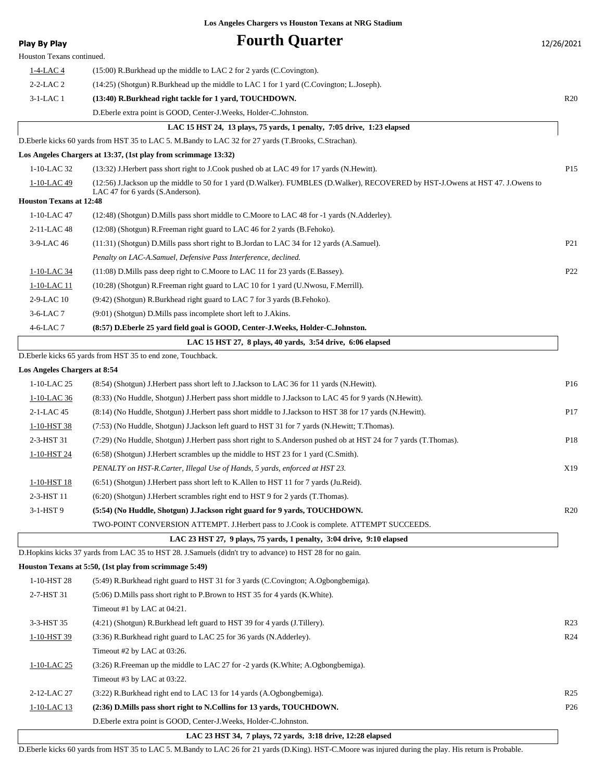| <b>Play By Play</b>            | <b>Fourth Quarter</b>                                                                                                           | 12/26/2021      |
|--------------------------------|---------------------------------------------------------------------------------------------------------------------------------|-----------------|
| Houston Texans continued.      |                                                                                                                                 |                 |
| <u>1-4-LAC 4</u>               | $(15:00)$ R. Burkhead up the middle to LAC 2 for 2 yards (C. Covington).                                                        |                 |
| $2-2-LAC2$                     | (14:25) (Shotgun) R.Burkhead up the middle to LAC 1 for 1 yard (C.Covington; L.Joseph).                                         |                 |
| $3-1-LAC1$                     | (13:40) R.Burkhead right tackle for 1 yard, TOUCHDOWN.                                                                          | R20             |
|                                | D.Eberle extra point is GOOD, Center-J.Weeks, Holder-C.Johnston.                                                                |                 |
|                                | LAC 15 HST 24, 13 plays, 75 yards, 1 penalty, 7:05 drive, 1:23 elapsed                                                          |                 |
|                                | D. Eberle kicks 60 yards from HST 35 to LAC 5. M. Bandy to LAC 32 for 27 yards (T. Brooks, C. Strachan).                        |                 |
|                                | Los Angeles Chargers at 13:37, (1st play from scrimmage 13:32)                                                                  |                 |
| 1-10-LAC 32                    | (13:32) J.Herbert pass short right to J.Cook pushed ob at LAC 49 for 17 yards (N.Hewitt).                                       | P <sub>15</sub> |
| 1-10-LAC 49                    | (12:56) J.Jackson up the middle to 50 for 1 yard (D.Walker). FUMBLES (D.Walker), RECOVERED by HST-J.Owens at HST 47. J.Owens to |                 |
| <b>Houston Texans at 12:48</b> | LAC 47 for 6 yards (S.Anderson).                                                                                                |                 |
| 1-10-LAC 47                    | (12:48) (Shotgun) D. Mills pass short middle to C. Moore to LAC 48 for -1 yards (N. Adderley).                                  |                 |
| 2-11-LAC 48                    | (12:08) (Shotgun) R. Freeman right guard to LAC 46 for 2 yards (B. Fehoko).                                                     |                 |
| 3-9-LAC 46                     | (11:31) (Shotgun) D. Mills pass short right to B. Jordan to LAC 34 for 12 yards (A. Samuel).                                    | P <sub>21</sub> |
|                                | Penalty on LAC-A.Samuel, Defensive Pass Interference, declined.                                                                 |                 |
| 1-10-LAC 34                    | $(11:08)$ D. Mills pass deep right to C. Moore to LAC 11 for 23 yards (E. Bassey).                                              | P <sub>22</sub> |
| <u>1-10-LAC 11</u>             | (10:28) (Shotgun) R.Freeman right guard to LAC 10 for 1 yard (U.Nwosu, F.Merrill).                                              |                 |
| 2-9-LAC 10                     | (9:42) (Shotgun) R.Burkhead right guard to LAC 7 for 3 yards (B.Fehoko).                                                        |                 |
| $3-6$ -LAC $7$                 | (9:01) (Shotgun) D.Mills pass incomplete short left to J.Akins.                                                                 |                 |
| 4-6-LAC 7                      | (8:57) D. Eberle 25 yard field goal is GOOD, Center-J. Weeks, Holder-C. Johnston.                                               |                 |
|                                | LAC 15 HST 27, 8 plays, 40 yards, 3:54 drive, 6:06 elapsed                                                                      |                 |
|                                | D. Eberle kicks 65 yards from HST 35 to end zone, Touchback.                                                                    |                 |
| Los Angeles Chargers at 8:54   |                                                                                                                                 |                 |
| 1-10-LAC 25                    | (8:54) (Shotgun) J.Herbert pass short left to J.Jackson to LAC 36 for 11 yards (N.Hewitt).                                      | P <sub>16</sub> |
| 1-10-LAC 36                    | (8:33) (No Huddle, Shotgun) J.Herbert pass short middle to J.Jackson to LAC 45 for 9 yards (N.Hewitt).                          |                 |
| 2-1-LAC 45                     | (8:14) (No Huddle, Shotgun) J.Herbert pass short middle to J.Jackson to HST 38 for 17 yards (N.Hewitt).                         | P17             |
| 1-10-HST 38                    | (7:53) (No Huddle, Shotgun) J.Jackson left guard to HST 31 for 7 yards (N.Hewitt; T.Thomas).                                    |                 |
| 2-3-HST 31                     | (7:29) (No Huddle, Shotgun) J.Herbert pass short right to S.Anderson pushed ob at HST 24 for 7 yards (T.Thomas).                | P <sub>18</sub> |
| 1-10-HST 24                    | (6:58) (Shotgun) J.Herbert scrambles up the middle to HST 23 for 1 yard (C.Smith).                                              |                 |
|                                | PENALTY on HST-R.Carter, Illegal Use of Hands, 5 yards, enforced at HST 23.                                                     | X19             |
| 1-10-HST 18                    | (6:51) (Shotgun) J.Herbert pass short left to K.Allen to HST 11 for 7 yards (Ju.Reid).                                          |                 |
| 2-3-HST 11                     | (6:20) (Shotgun) J.Herbert scrambles right end to HST 9 for 2 yards (T.Thomas).                                                 |                 |
| 3-1-HST 9                      | (5:54) (No Huddle, Shotgun) J.Jackson right guard for 9 yards, TOUCHDOWN.                                                       | R20             |
|                                | TWO-POINT CONVERSION ATTEMPT. J.Herbert pass to J.Cook is complete. ATTEMPT SUCCEEDS.                                           |                 |
|                                | LAC 23 HST 27, 9 plays, 75 yards, 1 penalty, 3:04 drive, 9:10 elapsed                                                           |                 |
|                                | D. Hopkins kicks 37 yards from LAC 35 to HST 28. J. Samuels (didn't try to advance) to HST 28 for no gain.                      |                 |
|                                | Houston Texans at 5:50, (1st play from scrimmage 5:49)                                                                          |                 |
| 1-10-HST 28                    | (5:49) R.Burkhead right guard to HST 31 for 3 yards (C.Covington; A.Ogbongbemiga).                                              |                 |
| 2-7-HST 31                     | (5:06) D. Mills pass short right to P. Brown to HST 35 for 4 yards (K. White).                                                  |                 |
|                                | Timeout #1 by LAC at 04:21.                                                                                                     |                 |
| 3-3-HST 35                     | (4:21) (Shotgun) R.Burkhead left guard to HST 39 for 4 yards (J.Tillery).                                                       | R <sub>23</sub> |
| 1-10-HST 39                    | (3:36) R.Burkhead right guard to LAC 25 for 36 yards (N.Adderley).                                                              | R <sub>24</sub> |
|                                | Timeout #2 by LAC at 03:26.                                                                                                     |                 |
| 1-10-LAC 25                    | (3:26) R. Freeman up the middle to LAC 27 for -2 yards (K. White; A. Ogbongbemiga).                                             |                 |
|                                | Timeout #3 by LAC at 03:22.                                                                                                     |                 |
| 2-12-LAC 27                    | (3:22) R.Burkhead right end to LAC 13 for 14 yards (A.Ogbongbemiga).                                                            | R <sub>25</sub> |
| 1-10-LAC 13                    | (2:36) D.Mills pass short right to N.Collins for 13 yards, TOUCHDOWN.                                                           | P <sub>26</sub> |
|                                | D. Eberle extra point is GOOD, Center-J. Weeks, Holder-C. Johnston.                                                             |                 |

### **LAC 23 HST 34, 7 plays, 72 yards, 3:18 drive, 12:28 elapsed**

D.Eberle kicks 60 yards from HST 35 to LAC 5. M.Bandy to LAC 26 for 21 yards (D.King). HST-C.Moore was injured during the play. His return is Probable.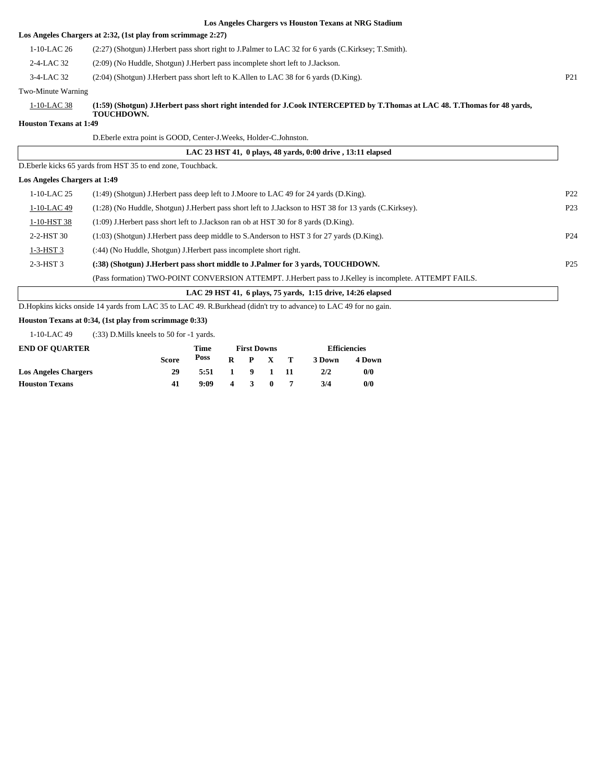|                               | Los Angeles Chai gers vs Houston Texans at Alvo Diagnam                                                                   |                 |
|-------------------------------|---------------------------------------------------------------------------------------------------------------------------|-----------------|
|                               | Los Angeles Chargers at 2:32, (1st play from scrimmage 2:27)                                                              |                 |
| 1-10-LAC 26                   | (2:27) (Shotgun) J. Herbert pass short right to J. Palmer to LAC 32 for 6 yards (C. Kirksey; T. Smith).                   |                 |
| 2-4-LAC 32                    | (2:09) (No Huddle, Shotgun) J. Herbert pass incomplete short left to J. Jackson.                                          |                 |
| 3-4-LAC 32                    | $(2.04)$ (Shotgun) J. Herbert pass short left to K. Allen to LAC 38 for 6 yards (D. King).                                | <b>P21</b>      |
| Two-Minute Warning            |                                                                                                                           |                 |
| $1-10-LAC$ 38                 | (1:59) (Shotgun) J.Herbert pass short right intended for J.Cook INTERCEPTED by T.Thomas at LAC 48. T.Thomas for 48 yards, |                 |
| <b>Houston Texans at 1:49</b> | <b>TOUCHDOWN.</b>                                                                                                         |                 |
|                               | D. Eberle extra point is GOOD, Center-J. Weeks, Holder-C. Johnston.                                                       |                 |
|                               | LAC 23 HST 41, 0 plays, 48 yards, 0:00 drive, 13:11 elapsed                                                               |                 |
|                               | D. Eberle kicks 65 yards from HST 35 to end zone, Touchback.                                                              |                 |
| Los Angeles Chargers at 1:49  |                                                                                                                           |                 |
| $1-10-LAC$ 25                 | (1:49) (Shotgun) J. Herbert pass deep left to J. Moore to LAC 49 for 24 yards (D. King).                                  | P <sub>22</sub> |
| 1-10-LAC 49                   | (1:28) (No Huddle, Shotgun) J. Herbert pass short left to J. Jackson to HST 38 for 13 yards (C. Kirksey).                 | P <sub>23</sub> |
| 1-10-HST 38                   | (1:09) J.Herbert pass short left to J.Jackson ran ob at HST 30 for 8 yards (D.King).                                      |                 |
| 2-2-HST 30                    | $(1:03)$ (Shotgun) J. Herbert pass deep middle to S. Anderson to HST 3 for 27 yards (D. King).                            | P <sub>24</sub> |
|                               |                                                                                                                           |                 |

1-3-HST 3 (:44) (No Huddle, Shotgun) J.Herbert pass incomplete short right. 2-3-HST 3 **(:38) (Shotgun) J.Herbert pass short middle to J.Palmer for 3 yards, TOUCHDOWN.** P25 (Pass formation) TWO-POINT CONVERSION ATTEMPT. J.Herbert pass to J.Kelley is incomplete. ATTEMPT FAILS.

 **LAC 29 HST 41, 6 plays, 75 yards, 1:15 drive, 14:26 elapsed**

D.Hopkins kicks onside 14 yards from LAC 35 to LAC 49. R.Burkhead (didn't try to advance) to LAC 49 for no gain.

#### **Houston Texans at 0:34, (1st play from scrimmage 0:33)**

1-10-LAC 49 (:33) D.Mills kneels to 50 for -1 yards.

| <b>END OF OUARTER</b>       |              | Time | <b>First Downs</b> |              |              |  | <b>Efficiencies</b> |        |  |
|-----------------------------|--------------|------|--------------------|--------------|--------------|--|---------------------|--------|--|
|                             | <b>Score</b> | Poss | R                  |              | P X T        |  | 3 Down              | 4 Down |  |
| <b>Los Angeles Chargers</b> | 29           | 5:51 | $\mathbf{1}$       |              | 9 1 11       |  | 2/2                 | 0/0    |  |
| <b>Houston Texans</b>       | 41           | 9:09 | 4                  | $\mathbf{R}$ | $\mathbf{0}$ |  | 3/4                 | 0/0    |  |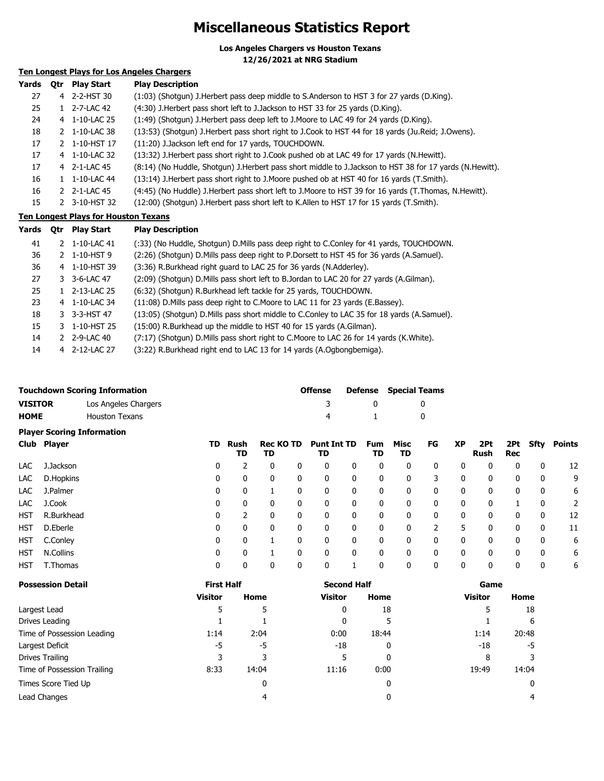### **Miscellaneous Statistics Report**

**Los Angeles Chargers vs Houston Texans**

**12/26/2021 at NRG Stadium**

### **Ten Longest Plays for Los Angeles Chargers**

| Yards | <b>Otr</b> | <b>Play Start</b> | <b>Play Description</b>                                                                                    |
|-------|------------|-------------------|------------------------------------------------------------------------------------------------------------|
| 27    |            | 4 2-2-HST 30      | (1:03) (Shotgun) J. Herbert pass deep middle to S. Anderson to HST 3 for 27 yards (D. King).               |
| 25    |            | 1 2-7-LAC 42      | (4:30) J. Herbert pass short left to J. Jackson to HST 33 for 25 yards (D. King).                          |
| 24    |            | 4 1-10-LAC 25     | (1:49) (Shotgun) J. Herbert pass deep left to J. Moore to LAC 49 for 24 yards (D. King).                   |
| 18    |            | 1-10-LAC 38       | (13:53) (Shotqun) J.Herbert pass short right to J.Cook to HST 44 for 18 yards (Ju.Reid; J.Owens).          |
| 17    |            | 2 1-10-HST 17     | (11:20) J.Jackson left end for 17 yards, TOUCHDOWN.                                                        |
| 17    | 4          | 1-10-LAC 32       | (13:32) J. Herbert pass short right to J. Cook pushed ob at LAC 49 for 17 yards (N. Hewitt).               |
| 17    |            | 4 2-1-LAC 45      | (8:14) (No Huddle, Shotgun) J. Herbert pass short middle to J. Jackson to HST 38 for 17 yards (N. Hewitt). |
| 16    |            | 1-10-LAC 44       | (13:14) J. Herbert pass short right to J. Moore pushed ob at HST 40 for 16 yards (T. Smith).               |
| 16    |            | 2 2-1-LAC 45      | (4:45) (No Huddle) J.Herbert pass short left to J.Moore to HST 39 for 16 yards (T.Thomas, N.Hewitt).       |
| 15    |            | 3-10-HST 32       | (12:00) (Shotgun) J.Herbert pass short left to K.Allen to HST 17 for 15 yards (T.Smith).                   |

#### **Ten Longest Plays for Houston Texans**

| Yards | <b>Otr</b> | <b>Play Start</b>        | <b>Play Description</b>                                                                       |
|-------|------------|--------------------------|-----------------------------------------------------------------------------------------------|
| 41    |            | 2 1-10-LAC 41            | (:33) (No Huddle, Shotgun) D. Mills pass deep right to C. Conley for 41 yards, TOUCHDOWN.     |
| 36    |            | $2$ 1-10-HST 9           | (2:26) (Shotgun) D.Mills pass deep right to P.Dorsett to HST 45 for 36 yards (A.Samuel).      |
| 36    |            | 4 1-10-HST 39            | (3:36) R.Burkhead right guard to LAC 25 for 36 yards (N.Adderley).                            |
| 27    |            | 3 3-6-LAC 47             | (2:09) (Shotgun) D. Mills pass short left to B. Jordan to LAC 20 for 27 yards (A. Gilman).    |
| 25    |            | $1 \quad 2 - 13 - LAC25$ | (6:32) (Shotgun) R.Burkhead left tackle for 25 yards, TOUCHDOWN.                              |
| 23    |            | 4 1-10-LAC 34            | (11:08) D. Mills pass deep right to C. Moore to LAC 11 for 23 yards (E. Bassey).              |
| 18    |            | 3 3-3-HST 47             | (13:05) (Shotgun) D. Mills pass short middle to C. Conley to LAC 35 for 18 yards (A. Samuel). |
| 15    |            | 3 1-10-HST 25            | (15:00) R.Burkhead up the middle to HST 40 for 15 yards (A.Gilman).                           |
| 14    |            | 2 2-9-LAC 40             | (7:17) (Shotgun) D. Mills pass short right to C. Moore to LAC 26 for 14 yards (K. White).     |
| 14    |            | 4 2-12-LAC 27            | (3:22) R.Burkhead right end to LAC 13 for 14 yards (A.Ogbongbemiga).                          |

|                                   | <b>Touchdown Scoring Information</b> | Offense |              | <b>Defense</b> Special Teams |  |  |
|-----------------------------------|--------------------------------------|---------|--------------|------------------------------|--|--|
| <b>VISITOR</b>                    | Los Angeles Chargers                 |         |              |                              |  |  |
| <b>HOME</b>                       | Houston Texans                       | 4       | $\mathbf{1}$ |                              |  |  |
| <b>Player Scoring Information</b> |                                      |         |              |                              |  |  |

|            | Club Player | TD. | Rush<br>TD   | <b>Rec KO TD</b><br>TD |              | <b>Punt Int TD</b><br>TD |   | Fum<br>TD | Misc<br>TD   | FG | <b>XP</b>    | 2Pt<br>Rush | <b>Rec</b>   |   | 2Pt Sfty Points |
|------------|-------------|-----|--------------|------------------------|--------------|--------------------------|---|-----------|--------------|----|--------------|-------------|--------------|---|-----------------|
| LAC        | J.Jackson   | 0   |              | 0                      | $\mathbf{0}$ | 0                        | 0 | 0         | 0            | 0  | 0            | 0           | 0            | 0 | 12              |
| LAC        | D.Hopkins   | 0   | 0            | 0                      | $\mathbf{0}$ | 0                        | 0 | 0         | 0            | 3  | 0            | 0           | 0            | 0 | 9               |
| LAC        | J.Palmer    | 0   | 0            |                        | 0            | 0                        | 0 | 0         | 0            | 0  | 0            | 0           | 0            | 0 | 6               |
| LAC        | J.Cook      | 0   | 0            | 0                      | 0            | 0                        | 0 | 0         | 0            | 0  | 0            | 0           |              | 0 | 2               |
| <b>HST</b> | R.Burkhead  | 0   |              | 0                      | 0            | 0                        | 0 | 0         | 0            | 0  | $\mathbf{0}$ | 0           | 0            | 0 | 12              |
| <b>HST</b> | D.Eberle    | 0   | $\mathbf{0}$ | $\mathbf{0}$           | $\Omega$     | 0                        | 0 | 0         | $\Omega$     | っ  | 5            | 0           | $\mathbf{0}$ | 0 | 11              |
| <b>HST</b> | C.Conley    | 0   | $\mathbf{0}$ |                        |              |                          | 0 | 0         | $\mathbf{0}$ | 0  | $\mathbf{0}$ | 0           | 0            | 0 | 6               |
| <b>HST</b> | N.Collins   | 0   | $\mathbf{0}$ |                        | $\Omega$     | 0                        | 0 | 0         | $\mathbf{0}$ | 0  | $\mathbf{0}$ | 0           | $\mathbf{0}$ | 0 | 6               |
| HST        | T.Thomas    | 0   | 0            |                        |              |                          |   | 0         | $\mathbf{0}$ | 0  | 0            | 0           | 0            | 0 | 6               |

| <b>Possession Detail</b>    | <b>First Half</b> |       | <b>Second Half</b> |       | Game           |       |  |
|-----------------------------|-------------------|-------|--------------------|-------|----------------|-------|--|
|                             | <b>Visitor</b>    | Home  | <b>Visitor</b>     | Home  | <b>Visitor</b> | Home  |  |
| Largest Lead                | 5                 | 5     | 0                  | 18    |                | 18    |  |
| Drives Leading              |                   |       | 0                  |       |                | 6     |  |
| Time of Possession Leading  | 1:14              | 2:04  | 0:00               | 18:44 | 1:14           | 20:48 |  |
| Largest Deficit             | -5                | -5    | $-18$              | 0     | $-18$          | -5    |  |
| Drives Trailing             | 3                 | 3     | 5                  | 0     | 8              |       |  |
| Time of Possession Trailing | 8:33              | 14:04 | 11:16              | 0:00  | 19:49          | 14:04 |  |
| Times Score Tied Up         |                   | 0     |                    | 0     |                |       |  |
| Lead Changes                |                   | 4     |                    | 0     |                |       |  |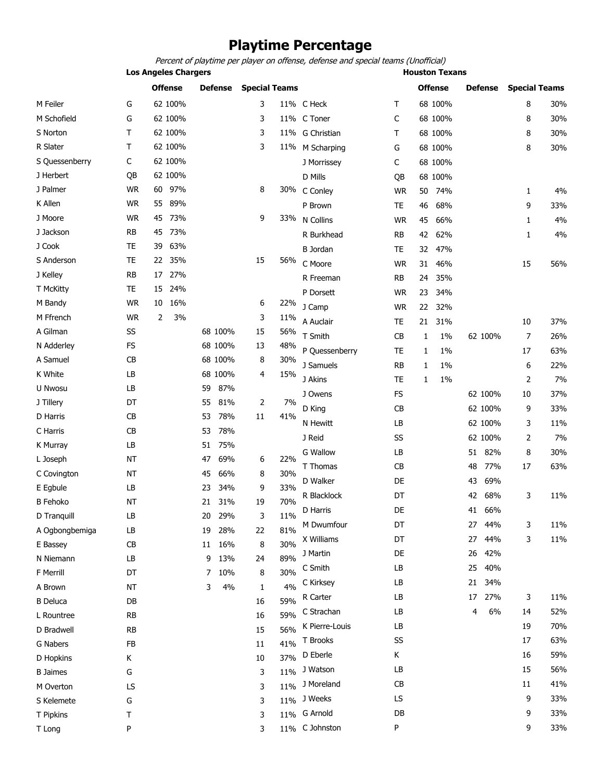### **Playtime Percentage**

Percent of playtime per player on offense, defense and special teams (Unofficial)

**Los Angeles Chargers Constitution Construction Chargers Houston Texans** 

|                 |           | <b>Offense</b> | <b>Defense</b> | <b>Special Teams</b> |     |                 |           | <b>Offense</b> | <b>Defense</b> | <b>Special Teams</b> |     |
|-----------------|-----------|----------------|----------------|----------------------|-----|-----------------|-----------|----------------|----------------|----------------------|-----|
| M Feiler        | G         | 62 100%        |                | 3                    |     | 11% C Heck      | т         | 68 100%        |                | 8                    | 30% |
| M Schofield     | G         | 62 100%        |                | 3                    |     | 11% C Toner     | C         | 68 100%        |                | 8                    | 30% |
| S Norton        | т         | 62 100%        |                | 3                    |     | 11% G Christian | т         | 68 100%        |                | 8                    | 30% |
| R Slater        | т         | 62 100%        |                | 3                    |     | 11% M Scharping | G         | 68 100%        |                | 8                    | 30% |
| S Quessenberry  | С         | 62 100%        |                |                      |     | J Morrissey     | С         | 68 100%        |                |                      |     |
| J Herbert       | QB        | 62 100%        |                |                      |     | D Mills         | QB        | 68 100%        |                |                      |     |
| J Palmer        | <b>WR</b> | 97%<br>60      |                | 8                    |     | 30% C Conley    | <b>WR</b> | 74%<br>50      |                | 1                    | 4%  |
| K Allen         | <b>WR</b> | 89%<br>55      |                |                      |     | P Brown         | TE        | 68%<br>46      |                | 9                    | 33% |
| J Moore         | WR.       | 73%<br>45      |                | 9                    | 33% | N Collins       | <b>WR</b> | 66%<br>45      |                | 1                    | 4%  |
| J Jackson       | RB        | 73%<br>45      |                |                      |     | R Burkhead      | <b>RB</b> | 62%<br>42      |                | 1                    | 4%  |
| J Cook          | TE        | 63%<br>39      |                |                      |     | <b>B</b> Jordan | TE        | 32<br>47%      |                |                      |     |
| S Anderson      | <b>TE</b> | 35%<br>22      |                | 15                   | 56% | C Moore         | <b>WR</b> | 46%<br>31      |                | 15                   | 56% |
| J Kelley        | RB        | 27%<br>17      |                |                      |     | R Freeman       | RB        | 35%<br>24      |                |                      |     |
| T McKitty       | TE        | 24%<br>15      |                |                      |     | P Dorsett       | <b>WR</b> | 34%<br>23      |                |                      |     |
| M Bandy         | WR.       | 16%<br>10      |                | 6                    | 22% | J Camp          | <b>WR</b> | 22<br>32%      |                |                      |     |
| M Ffrench       | <b>WR</b> | 2<br>3%        |                | 3                    | 11% | A Auclair       | TE        | 31%<br>21      |                | 10                   | 37% |
| A Gilman        | SS        |                | 68 100%        | 15                   | 56% | T Smith         | CB        | 1%<br>1        | 62 100%        | 7                    | 26% |
| N Adderley      | <b>FS</b> |                | 68 100%        | 13                   | 48% | P Quessenberry  | TE        | 1%<br>1        |                | 17                   | 63% |
| A Samuel        | СB        |                | 68 100%        | 8                    | 30% | J Samuels       | RB        | $1\%$<br>1     |                | 6                    | 22% |
| K White         | LB        |                | 68 100%        | 4                    | 15% | J Akins         | <b>TE</b> | 1%<br>1        |                | 2                    | 7%  |
| U Nwosu         | LB        |                | 87%<br>59      |                      |     |                 | <b>FS</b> |                | 62 100%        |                      |     |
| J Tillery       | DT        |                | 81%<br>55      | 2                    | 7%  | J Owens         |           |                |                | 10                   | 37% |
| D Harris        | СB        |                | 78%<br>53      | 11                   | 41% | D King          | CB        |                | 62 100%        | 9                    | 33% |
| C Harris        | СB        |                | 78%<br>53      |                      |     | N Hewitt        | LB        |                | 62 100%        | 3                    | 11% |
| K Murray        | LB        |                | 75%<br>51      |                      |     | J Reid          | SS        |                | 62 100%        | 2                    | 7%  |
| L Joseph        | <b>NT</b> |                | 69%<br>47      | 6                    | 22% | <b>G Wallow</b> | LB        |                | 82%<br>51      | 8                    | 30% |
| C Covington     | <b>NT</b> |                | 45<br>66%      | 8                    | 30% | T Thomas        | CB        |                | 77%<br>48      | 17                   | 63% |
| E Egbule        | LB        |                | 34%<br>23      | 9                    | 33% | D Walker        | DE        |                | 69%<br>43      |                      |     |
| <b>B</b> Fehoko | <b>NT</b> |                | 31%<br>21      | 19                   | 70% | R Blacklock     | DT        |                | 68%<br>42      | 3                    | 11% |
| D Tranquill     | LB        |                | 29%<br>20      | 3                    | 11% | D Harris        | DE        |                | 66%<br>41      |                      |     |
| A Ogbongbemiga  | LB        |                | 28%<br>19      | 22                   | 81% | M Dwumfour      | DT        |                | 27<br>44%      | 3                    | 11% |
| E Bassey        | CB        |                | 16%<br>11      | 8                    | 30% | X Williams      | DT        |                | 27<br>44%      | 3                    | 11% |
| N Niemann       | LB        |                | 13%<br>9       | 24                   | 89% | J Martin        | DE        |                | 42%<br>26      |                      |     |
| F Merrill       | DT        |                | 10%<br>7       | 8                    | 30% | C Smith         | LB        |                | 40%<br>25      |                      |     |
| A Brown         | ΝT        |                | 4%<br>3        | 1                    | 4%  | C Kirksey       | LB        |                | 34%<br>21      |                      |     |
| <b>B</b> Deluca | DB        |                |                | 16                   | 59% | R Carter        | LB        |                | 27%<br>17      | 3                    | 11% |
| L Rountree      | <b>RB</b> |                |                | 16                   | 59% | C Strachan      | LB        |                | 6%<br>4        | 14                   | 52% |
| D Bradwell      | RB        |                |                | 15                   | 56% | K Pierre-Louis  | LB        |                |                | 19                   | 70% |
| G Nabers        | FB        |                |                | 11                   | 41% | T Brooks        | SS        |                |                | 17                   | 63% |
| D Hopkins       | K         |                |                | 10                   | 37% | D Eberle        | Κ         |                |                | 16                   | 59% |
| <b>B</b> Jaimes | G         |                |                | 3                    | 11% | J Watson        | LB        |                |                | 15                   | 56% |
| M Overton       | LS        |                |                | 3                    | 11% | J Moreland      | CB        |                |                | 11                   | 41% |
| S Kelemete      | G         |                |                | 3                    |     | $11\%$ J Weeks  | LS        |                |                | 9                    | 33% |
| T Pipkins       | т         |                |                | 3                    |     | 11% G Arnold    | DB        |                |                | 9                    | 33% |
| T Long          | P         |                |                | 3                    |     | 11% C Johnston  | P         |                |                | 9                    | 33% |
|                 |           |                |                |                      |     |                 |           |                |                |                      |     |